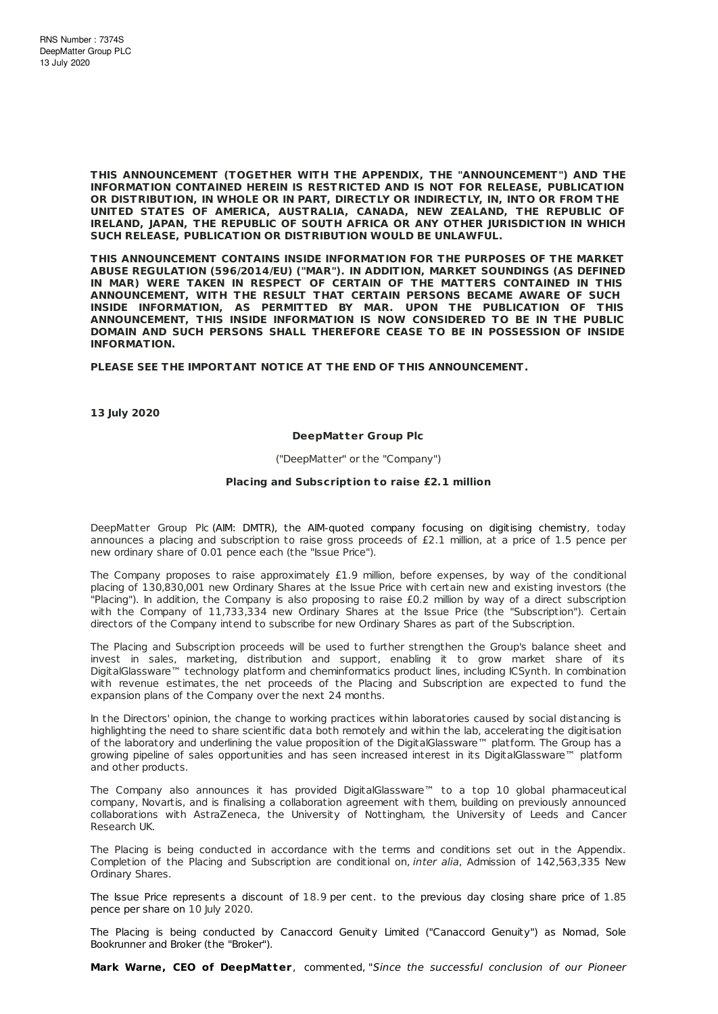**THIS ANNOUNCEMENT (TOGETHER WITH THE APPENDIX, THE "ANNOUNCEMENT") AND THE INFORMATION CONTAINED HEREIN IS RESTRICTED AND IS NOT FOR RELEASE, PUBLICATION OR DISTRIBUTION, IN WHOLE OR IN PART, DIRECTLY OR INDIRECTLY, IN, INTO OR FROM THE UNITED STATES OF AMERICA, AUSTRALIA, CANADA, NEW ZEALAND, THE REPUBLIC OF IRELAND, JAPAN, THE REPUBLIC OF SOUTH AFRICA OR ANY OTHER JURISDICTION IN WHICH SUCH RELEASE, PUBLICATION OR DISTRIBUTION WOULD BE UNLAWFUL.**

**THIS ANNOUNCEMENT CONTAINS INSIDE INFORMATION FOR THE PURPOSES OF THE MARKET ABUSE REGULATION (596/2014/EU) ("MAR"). IN ADDITION, MARKET SOUNDINGS (AS DEFINED IN MAR) WERE TAKEN IN RESPECT OF CERTAIN OF THE MATTERS CONTAINED IN THIS ANNOUNCEMENT, WITH THE RESULT THAT CERTAIN PERSONS BECAME AWARE OF SUCH INSIDE INFORMATION, AS PERMITTED BY MAR. UPON THE PUBLICATION OF THIS ANNOUNCEMENT, THIS INSIDE INFORMATION IS NOW CONSIDERED TO BE IN THE PUBLIC DOMAIN AND SUCH PERSONS SHALL THEREFORE CEASE TO BE IN POSSESSION OF INSIDE INFORMATION.**

**PLEASE SEE THE IMPORTANT NOTICE AT THE END OF THIS ANNOUNCEMENT.**

**13 July 2020**

#### **DeepMatter Group Plc**

("DeepMatter" or the "Company")

#### **Placing and Subscript ion to raise £2.1 million**

DeepMatter Group Plc (AIM: DMTR), the AIM-quoted company focusing on digitising chemistry, today announces a placing and subscription to raise gross proceeds of £2.1 million, at a price of 1.5 pence per new ordinary share of 0.01 pence each (the "Issue Price").

The Company proposes to raise approximately £1.9 million, before expenses, by way of the conditional placing of 130,830,001 new Ordinary Shares at the Issue Price with certain new and existing investors (the "Placing"). In addition, the Company is also proposing to raise £0.2 million by way of a direct subscription with the Company of 11,733,334 new Ordinary Shares at the Issue Price (the "Subscription"). Certain directors of the Company intend to subscribe for new Ordinary Shares as part of the Subscription.

The Placing and Subscription proceeds will be used to further strengthen the Group's balance sheet and invest in sales, marketing, distribution and support, enabling it to grow market share of its DigitalGlassware™ technology platform and cheminformatics product lines, including ICSynth. In combination with revenue estimates, the net proceeds of the Placing and Subscription are expected to fund the expansion plans of the Company over the next 24 months.

In the Directors' opinion, the change to working practices within laboratories caused by social distancing is highlighting the need to share scientific data both remotely and within the lab, accelerating the digitisation of the laboratory and underlining the value proposition of the DigitalGlassware™ platform. The Group has a growing pipeline of sales opportunities and has seen increased interest in its DigitalGlassware™ platform and other products.

The Company also announces it has provided DigitalGlassware™ to a top 10 global pharmaceutical company, Novartis, and is finalising a collaboration agreement with them, building on previously announced collaborations with AstraZeneca, the University of Nottingham, the University of Leeds and Cancer Research UK.

The Placing is being conducted in accordance with the terms and conditions set out in the Appendix. Completion of the Placing and Subscription are conditional on, inter alia, Admission of 142,563,335 New Ordinary Shares.

The Issue Price represents a discount of 18.9 per cent. to the previous day closing share price of 1.85 pence per share on 10 luly 2020.

The Placing is being conducted by Canaccord Genuity Limited ("Canaccord Genuity") as Nomad, Sole Bookrunner and Broker (the "Broker").

**Mark Warne, CEO of DeepMat ter**, commented, "Since the successful conclusion of our Pioneer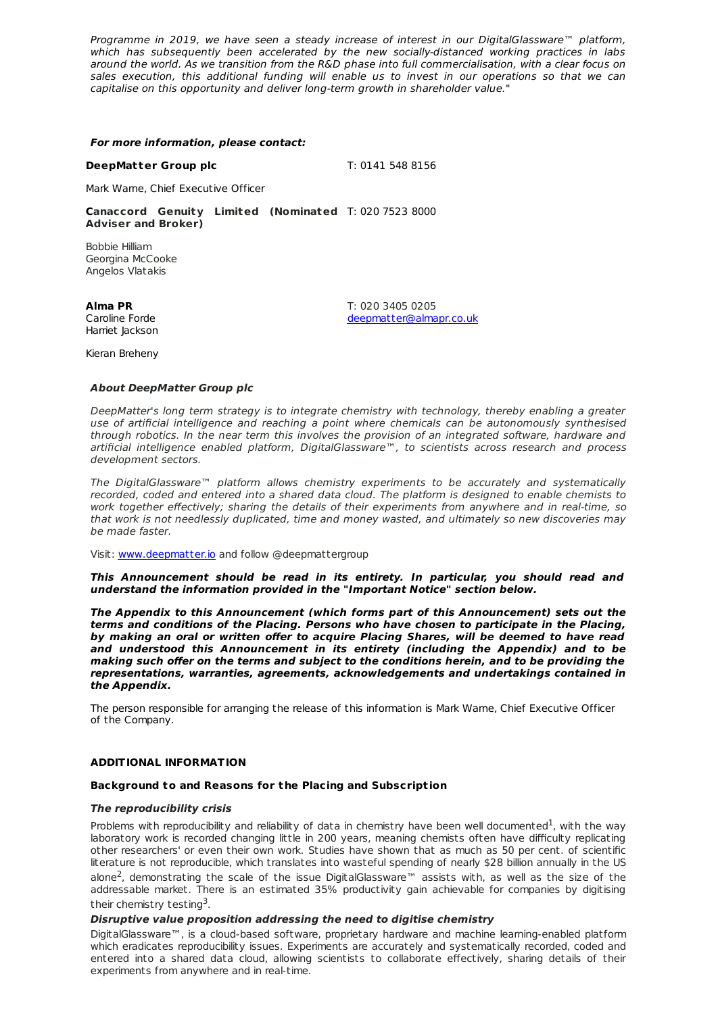Programme in 2019, we have seen a steady increase of interest in our DigitalGlassware™ platform, which has subsequently been accelerated by the new socially-distanced working practices in labs around the world. As we transition from the R&D phase into full commercialisation, with a clear focus on sales execution, this additional funding will enable us to invest in our operations so that we can capitalise on this opportunity and deliver long-term growth in shareholder value."

#### **For more information, please contact:**

**DeepMatter Group plc** T: 0141 548 8156

Mark Warne, Chief Executive Officer

**Canaccord Genuity Limited (Nominated** T: 020 7523 8000 **Adviser and Broker)**

Bobbie Hilliam Georgina McCooke Angelos Vlatakis

**Alma PR** Caroline Forde Harriet Jackson T: 020 3405 0205 [deepmatter@almapr.co.uk](mailto:deepmatter@almapr.co.uk)

Kieran Breheny

## **About DeepMatter Group plc**

DeepMatter's long term strategy is to integrate chemistry with technology, thereby enabling a greater use of artificial intelligence and reaching a point where chemicals can be autonomously synthesised through robotics. In the near term this involves the provision of an integrated software, hardware and artificial intelligence enabled platform, DigitalGlassware™, to scientists across research and process development sectors.

The DigitalGlassware™ platform allows chemistry experiments to be accurately and systematically recorded, coded and entered into a shared data cloud. The platform is designed to enable chemists to work together effectively; sharing the details of their experiments from anywhere and in real-time, so that work is not needlessly duplicated, time and money wasted, and ultimately so new discoveries may be made faster.

Visit: [www.deepmatter.io](http://www.deepmatter.io/) and follow @deepmattergroup

**This Announcement should be read in its entirety. In particular, you should read and understand the information provided in the "Important Notice" section below.**

**The Appendix to this Announcement (which forms part of this Announcement) sets out the terms and conditions of the Placing. Persons who have chosen to participate in the Placing, by making an oral or written offer to acquire Placing Shares, will be deemed to have read and understood this Announcement in its entirety (including the Appendix) and to be making such offer on the terms and subject to the conditions herein, and to be providing the representations, warranties, agreements, acknowledgements and undertakings contained in the Appendix.**

The person responsible for arranging the release of this information is Mark Warne, Chief Executive Officer of the Company.

## **ADDITIONAL INFORMATION**

## **Background to and Reasons for the Placing and Subscript ion**

## **The reproducibility crisis**

Problems with reproducibility and reliability of data in chemistry have been well documented<sup>1</sup>, with the way laboratory work is recorded changing little in 200 years, meaning chemists often have difficulty replicating other researchers' or even their own work. Studies have shown that as much as 50 per cent. of scientific literature is not reproducible, which translates into wasteful spending of nearly \$28 billion annually in the US alone<sup>2</sup>, demonstrating the scale of the issue DigitalGlassware™ assists with, as well as the size of the addressable market. There is an estimated 35% productivity gain achievable for companies by digitising their chemistry testing<sup>3</sup>.

## **Disruptive value proposition addressing the need to digitise chemistry**

DigitalGlassware™, is a cloud-based software, proprietary hardware and machine learning-enabled platform which eradicates reproducibility issues. Experiments are accurately and systematically recorded, coded and entered into a shared data cloud, allowing scientists to collaborate effectively, sharing details of their experiments from anywhere and in real-time.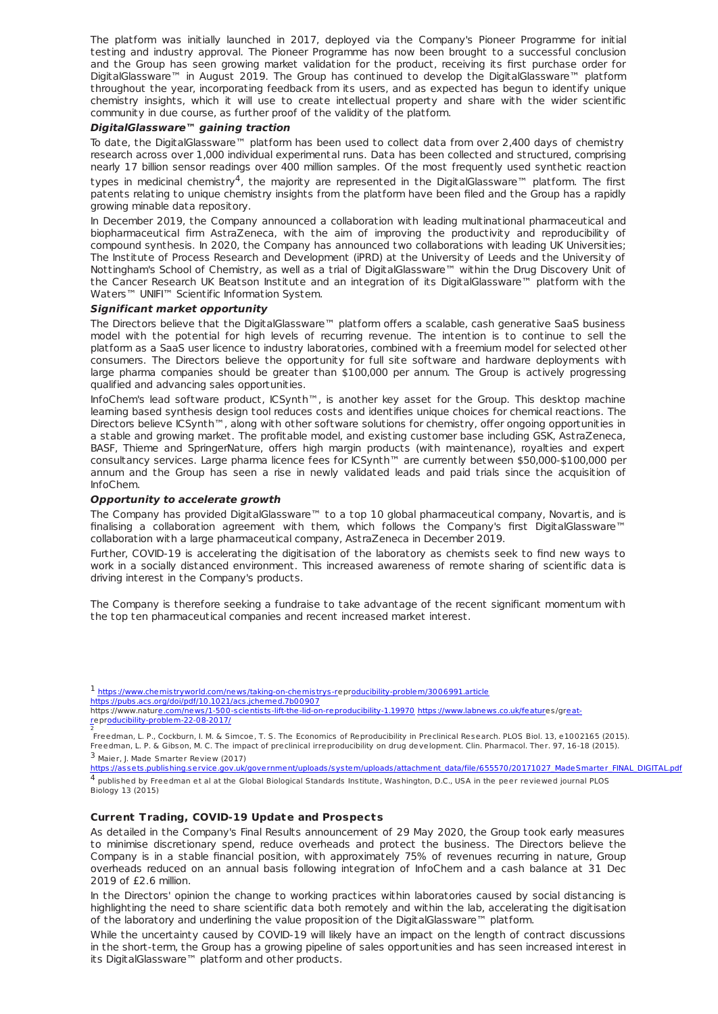The platform was initially launched in 2017, deployed via the Company's Pioneer Programme for initial testing and industry approval. The Pioneer Programme has now been brought to a successful conclusion and the Group has seen growing market validation for the product, receiving its first purchase order for DigitalGlassware™ in August 2019. The Group has continued to develop the DigitalGlassware™ platform throughout the year, incorporating feedback from its users, and as expected has begun to identify unique chemistry insights, which it will use to create intellectual property and share with the wider scientific community in due course, as further proof of the validity of the platform.

## **DigitalGlassware™ gaining traction**

To date, the DigitalGlassware™ platform has been used to collect data from over 2,400 days of chemistry research across over 1,000 individual experimental runs. Data has been collected and structured, comprising nearly 17 billion sensor readings over 400 million samples. Of the most frequently used synthetic reaction

types in medicinal chemistry<sup>4</sup>, the majority are represented in the DigitalGlassware™ platform. The first patents relating to unique chemistry insights from the platform have been filed and the Group has a rapidly growing minable data repository.

In December 2019, the Company announced a collaboration with leading multinational pharmaceutical and biopharmaceutical firm AstraZeneca, with the aim of improving the productivity and reproducibility of compound synthesis. In 2020, the Company has announced two collaborations with leading UK Universities; The Institute of Process Research and Development (iPRD) at the University of Leeds and the University of Nottingham's School of Chemistry, as well as a trial of DigitalGlassware™ within the Drug Discovery Unit of the Cancer Research UK Beatson Institute and an integration of its DigitalGlassware™ platform with the Waters™ UNIFI™ Scientific Information System.

#### **Significant market opportunity**

The Directors believe that the DigitalGlassware™ platform offers a scalable, cash generative SaaS business model with the potential for high levels of recurring revenue. The intention is to continue to sell the platform as a SaaS user licence to industry laboratories, combined with a freemium model for selected other consumers. The Directors believe the opportunity for full site software and hardware deployments with large pharma companies should be greater than \$100,000 per annum. The Group is actively progressing qualified and advancing sales opportunities.

InfoChem's lead software product, ICSynth™, is another key asset for the Group. This desktop machine learning based synthesis design tool reduces costs and identifies unique choices for chemical reactions. The Directors believe ICSynth™, along with other software solutions for chemistry, offer ongoing opportunities in a stable and growing market. The profitable model, and existing customer base including GSK, AstraZeneca, BASF, Thieme and SpringerNature, offers high margin products (with maintenance), royalties and expert consultancy services. Large pharma licence fees for ICSynth™ are currently between \$50,000-\$100,000 per annum and the Group has seen a rise in newly validated leads and paid trials since the acquisition of InfoChem.

#### **Opportunity to accelerate growth**

The Company has provided DigitalGlassware™ to a top 10 global pharmaceutical company, Novartis, and is finalising a collaboration agreement with them, which follows the Company's first DigitalGlassware™ collaboration with a large pharmaceutical company, AstraZeneca in December 2019.

Further, COVID-19 is accelerating the digitisation of the laboratory as chemists seek to find new ways to work in a socially distanced environment. This increased awareness of remote sharing of scientific data is driving interest in the Company's products.

The Company is therefore seeking a fundraise to take advantage of the recent significant momentum with the top ten pharmaceutical companies and recent increased market interest.

<sup>1</sup> <https://www.chemistryworld.com/news/taking-on-chemistrys-r>epr[oducibility-problem/3006991.article](http://www.chemistryworld.com/news/taking-on-chemistrys-reproducibility-problem/3006991.article) <https://pubs.acs.org/doi/pdf/10.1021/acs.jchemed.7b00907><br>https://www.natur<u>e.com/news/1-500-scientists-lift-the-lid-on-reproducibility-1.19970\_[https://www.labnews.co.uk/featur](http://www.labnews.co.uk/features/great-reproducibility-problem-22-08-2017/)es/gr<u>eat-</u></u>

rep[roducibility-problem-22-08-2017/](http://www.labnews.co.uk/features/great-reproducibility-problem-22-08-2017/)

2 Freedman, L. P., Cockburn, I. M. & Simcoe, T. S. The Economics of Reproducibility in Preclinical Research. PLOS Biol. 13, e1002165 (2015). Freedman, L. P. & Gibson, M. C. The impact of preclinical irreproducibility on drug development. Clin. Pharmacol. Ther. 97, 16-18 (2015). <sup>3</sup> Maier, J. Made Smarter Review (2017)

[https://assets.publishing.service.gov.uk/government/uploads/system/uploads/attachment\\_data/file/655570/20171027\\_MadeSmarter\\_FINAL\\_DIGITAL.pdf](https://assets.publishing.service.gov.uk/government/uploads/system/uploads/attachment_data/file/655570/20171027_MadeSmarter_FINAL_DIGITAL.pdf) 4 published by Freedman et al at the Global Biological Standards Institute, Washington, D.C., USA in the peer reviewed journal PLOS Biology 13 (2015)

#### **Current Trading, COVID-19 Update and Prospects**

As detailed in the Company's Final Results announcement of 29 May 2020, the Group took early measures to minimise discretionary spend, reduce overheads and protect the business. The Directors believe the Company is in a stable financial position, with approximately 75% of revenues recurring in nature, Group overheads reduced on an annual basis following integration of InfoChem and a cash balance at 31 Dec 2019 of £2.6 million.

In the Directors' opinion the change to working practices within laboratories caused by social distancing is highlighting the need to share scientific data both remotely and within the lab, accelerating the digitisation of the laboratory and underlining the value proposition of the DigitalGlassware™ platform.

While the uncertainty caused by COVID-19 will likely have an impact on the length of contract discussions in the short-term, the Group has a growing pipeline of sales opportunities and has seen increased interest in its DigitalGlassware™ platform and other products.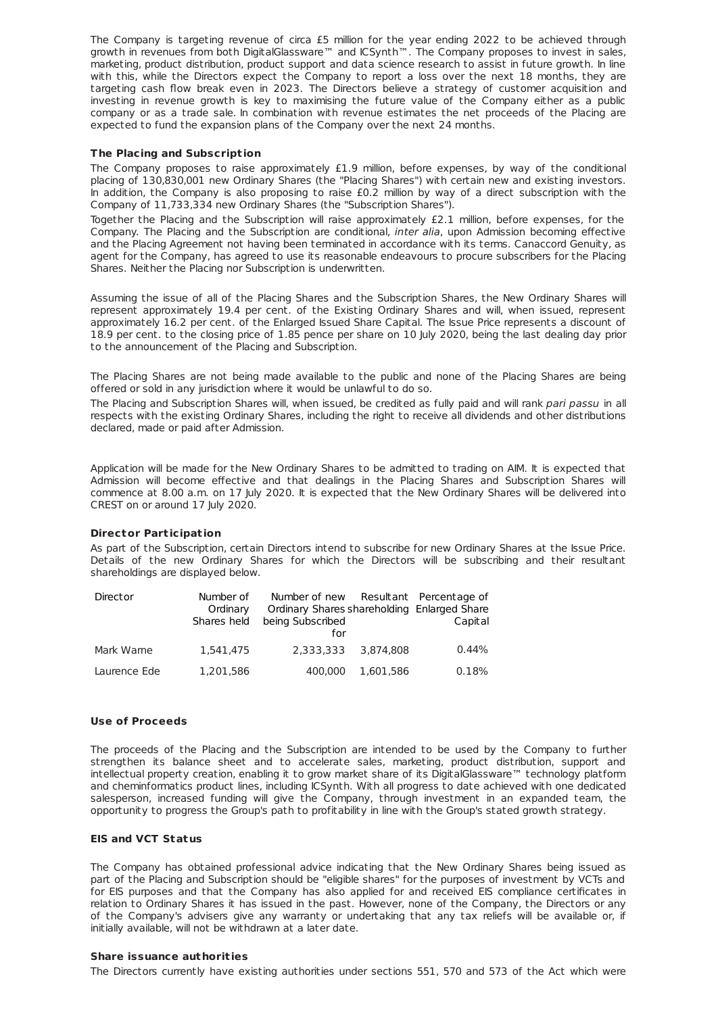The Company is targeting revenue of circa £5 million for the year ending 2022 to be achieved through growth in revenues from both DigitalGlassware™ and ICSynth™. The Company proposes to invest in sales. marketing, product distribution, product support and data science research to assist in future growth. In line with this, while the Directors expect the Company to report a loss over the next 18 months, they are targeting cash flow break even in 2023. The Directors believe a strategy of customer acquisition and investing in revenue growth is key to maximising the future value of the Company either as a public company or as a trade sale. In combination with revenue estimates the net proceeds of the Placing are expected to fund the expansion plans of the Company over the next 24 months.

#### **The Placing and Subscript ion**

The Company proposes to raise approximately £1.9 million, before expenses, by way of the conditional placing of 130,830,001 new Ordinary Shares (the "Placing Shares") with certain new and existing investors. In addition, the Company is also proposing to raise £0.2 million by way of a direct subscription with the Company of 11,733,334 new Ordinary Shares (the "Subscription Shares").

Together the Placing and the Subscription will raise approximately £2.1 million, before expenses, for the Company. The Placing and the Subscription are conditional, inter alia, upon Admission becoming effective and the Placing Agreement not having been terminated in accordance with its terms. Canaccord Genuity, as agent for the Company, has agreed to use its reasonable endeavours to procure subscribers for the Placing Shares. Neither the Placing nor Subscription is underwritten.

Assuming the issue of all of the Placing Shares and the Subscription Shares, the New Ordinary Shares will represent approximately 19.4 per cent. of the Existing Ordinary Shares and will, when issued, represent approximately 16.2 per cent. of the Enlarged Issued Share Capital. The Issue Price represents a discount of 18.9 per cent. to the closing price of 1.85 pence per share on 10 July 2020, being the last dealing day prior to the announcement of the Placing and Subscription.

The Placing Shares are not being made available to the public and none of the Placing Shares are being offered or sold in any jurisdiction where it would be unlawful to do so.

The Placing and Subscription Shares will, when issued, be credited as fully paid and will rank pari passu in all respects with the existing Ordinary Shares, including the right to receive all dividends and other distributions declared, made or paid after Admission.

Application will be made for the New Ordinary Shares to be admitted to trading on AIM. It is expected that Admission will become effective and that dealings in the Placing Shares and Subscription Shares will commence at 8.00 a.m. on 17 July 2020. It is expected that the New Ordinary Shares will be delivered into CREST on or around 17 July 2020.

#### **Director Part icipat ion**

As part of the Subscription, certain Directors intend to subscribe for new Ordinary Shares at the Issue Price. Details of the new Ordinary Shares for which the Directors will be subscribing and their resultant shareholdings are displayed below.

| Director     | Number of<br>Ordinary<br>Shares held | Number of new Resultant Percentage of<br>Ordinary Shares shareholding Enlarged Share<br>being Subscribed<br>for |           | Capital |
|--------------|--------------------------------------|-----------------------------------------------------------------------------------------------------------------|-----------|---------|
| Mark Warne   | 1.541.475                            | 2.333.333                                                                                                       | 3.874.808 | 0.44%   |
| Laurence Ede | 1,201,586                            | 400,000                                                                                                         | 1.601.586 | 0.18%   |

#### **Use of Proceeds**

The proceeds of the Placing and the Subscription are intended to be used by the Company to further strengthen its balance sheet and to accelerate sales, marketing, product distribution, support and intellectual property creation, enabling it to grow market share of its DigitalGlassware™ technology platform and cheminformatics product lines, including ICSynth. With all progress to date achieved with one dedicated salesperson, increased funding will give the Company, through investment in an expanded team, the opportunity to progress the Group's path to profitability in line with the Group's stated growth strategy.

# **EIS and VCT Status**

The Company has obtained professional advice indicating that the New Ordinary Shares being issued as part of the Placing and Subscription should be "eligible shares" for the purposes of investment by VCTs and for EIS purposes and that the Company has also applied for and received EIS compliance certificates in relation to Ordinary Shares it has issued in the past. However, none of the Company, the Directors or any of the Company's advisers give any warranty or undertaking that any tax reliefs will be available or, if initially available, will not be withdrawn at a later date.

#### **Share issuance authorit ies**

The Directors currently have existing authorities under sections 551, 570 and 573 of the Act which were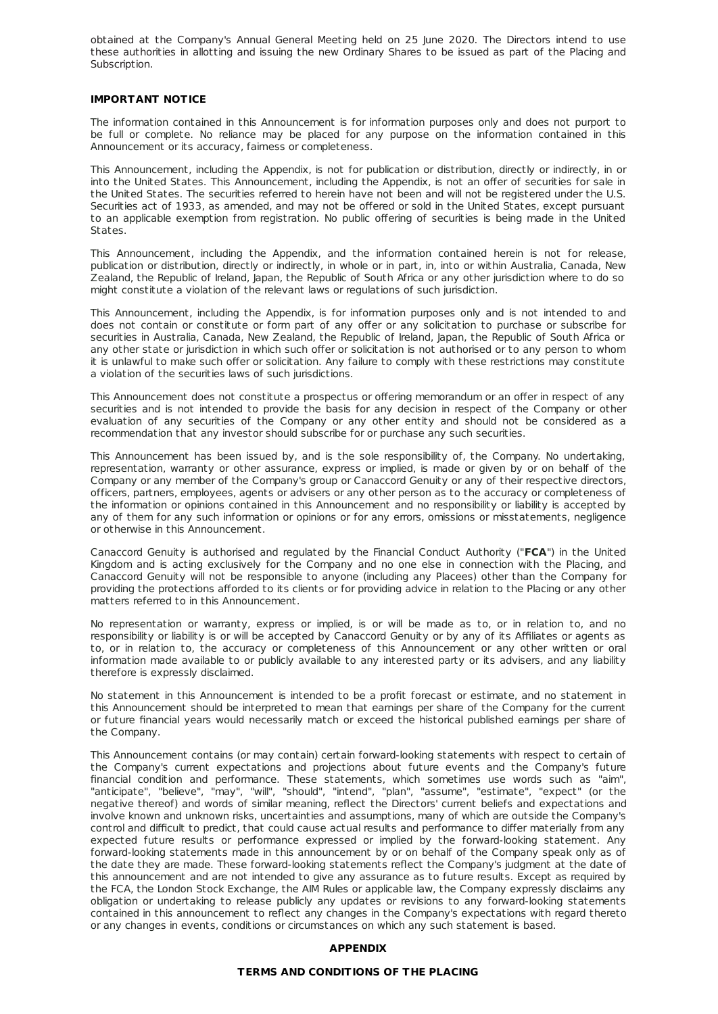obtained at the Company's Annual General Meeting held on 25 June 2020. The Directors intend to use these authorities in allotting and issuing the new Ordinary Shares to be issued as part of the Placing and Subscription.

#### **IMPORTANT NOTICE**

The information contained in this Announcement is for information purposes only and does not purport to be full or complete. No reliance may be placed for any purpose on the information contained in this Announcement or its accuracy, fairness or completeness.

This Announcement, including the Appendix, is not for publication or distribution, directly or indirectly, in or into the United States. This Announcement, including the Appendix, is not an offer of securities for sale in the United States. The securities referred to herein have not been and will not be registered under the U.S. Securities act of 1933, as amended, and may not be offered or sold in the United States, except pursuant to an applicable exemption from registration. No public offering of securities is being made in the United States.

This Announcement, including the Appendix, and the information contained herein is not for release, publication or distribution, directly or indirectly, in whole or in part, in, into or within Australia, Canada, New Zealand, the Republic of Ireland, Japan, the Republic of South Africa or any other jurisdiction where to do so might constitute a violation of the relevant laws or regulations of such jurisdiction.

This Announcement, including the Appendix, is for information purposes only and is not intended to and does not contain or constitute or form part of any offer or any solicitation to purchase or subscribe for securities in Australia, Canada, New Zealand, the Republic of Ireland, Japan, the Republic of South Africa or any other state or jurisdiction in which such offer or solicitation is not authorised or to any person to whom it is unlawful to make such offer or solicitation. Any failure to comply with these restrictions may constitute a violation of the securities laws of such jurisdictions.

This Announcement does not constitute a prospectus or offering memorandum or an offer in respect of any securities and is not intended to provide the basis for any decision in respect of the Company or other evaluation of any securities of the Company or any other entity and should not be considered as a recommendation that any investor should subscribe for or purchase any such securities.

This Announcement has been issued by, and is the sole responsibility of, the Company. No undertaking, representation, warranty or other assurance, express or implied, is made or given by or on behalf of the Company or any member of the Company's group or Canaccord Genuity or any of their respective directors, officers, partners, employees, agents or advisers or any other person as to the accuracy or completeness of the information or opinions contained in this Announcement and no responsibility or liability is accepted by any of them for any such information or opinions or for any errors, omissions or misstatements, negligence or otherwise in this Announcement.

Canaccord Genuity is authorised and regulated by the Financial Conduct Authority ("**FCA**") in the United Kingdom and is acting exclusively for the Company and no one else in connection with the Placing, and Canaccord Genuity will not be responsible to anyone (including any Placees) other than the Company for providing the protections afforded to its clients or for providing advice in relation to the Placing or any other matters referred to in this Announcement.

No representation or warranty, express or implied, is or will be made as to, or in relation to, and no responsibility or liability is or will be accepted by Canaccord Genuity or by any of its Affiliates or agents as to, or in relation to, the accuracy or completeness of this Announcement or any other written or oral information made available to or publicly available to any interested party or its advisers, and any liability therefore is expressly disclaimed.

No statement in this Announcement is intended to be a profit forecast or estimate, and no statement in this Announcement should be interpreted to mean that earnings per share of the Company for the current or future financial years would necessarily match or exceed the historical published earnings per share of the Company.

This Announcement contains (or may contain) certain forward-looking statements with respect to certain of the Company's current expectations and projections about future events and the Company's future financial condition and performance. These statements, which sometimes use words such as "aim", "anticipate", "believe", "may", "will", "should", "intend", "plan", "assume", "estimate", "expect" (or the negative thereof) and words of similar meaning, reflect the Directors' current beliefs and expectations and involve known and unknown risks, uncertainties and assumptions, many of which are outside the Company's control and difficult to predict, that could cause actual results and performance to differ materially from any expected future results or performance expressed or implied by the forward-looking statement. Any forward-looking statements made in this announcement by or on behalf of the Company speak only as of the date they are made. These forward-looking statements reflect the Company's judgment at the date of this announcement and are not intended to give any assurance as to future results. Except as required by the FCA, the London Stock Exchange, the AIM Rules or applicable law, the Company expressly disclaims any obligation or undertaking to release publicly any updates or revisions to any forward-looking statements contained in this announcement to reflect any changes in the Company's expectations with regard thereto or any changes in events, conditions or circumstances on which any such statement is based.

#### **APPENDIX**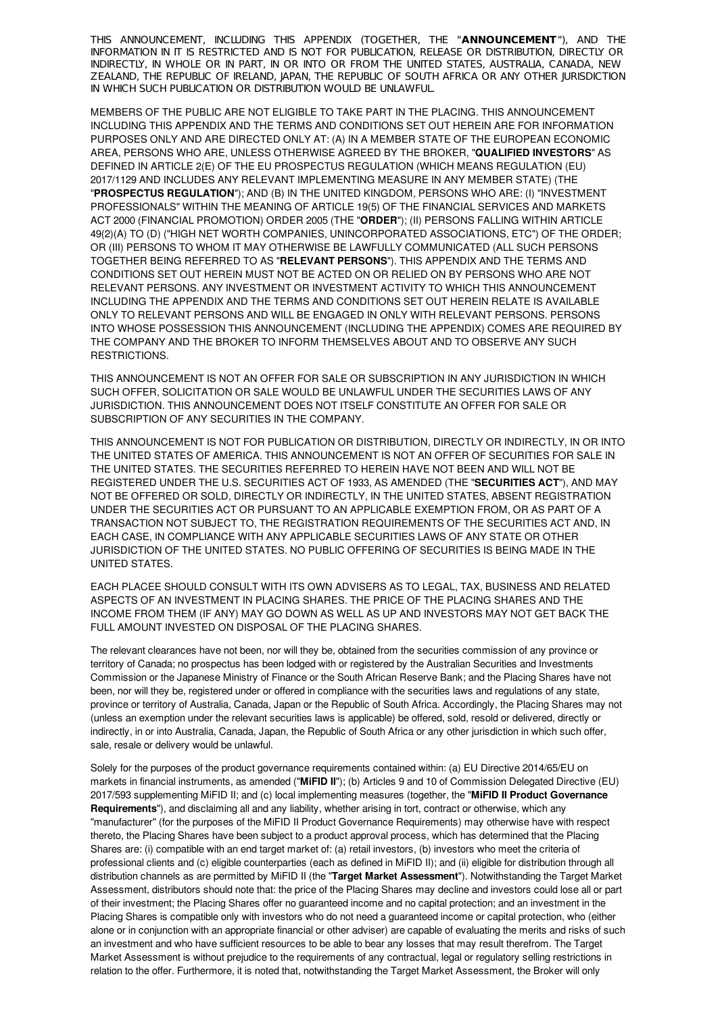THIS ANNOUNCEMENT, INCLUDING THIS APPENDIX (TOGETHER, THE "**ANNOUNCEMENT**"), AND THE INFORMATION IN IT IS RESTRICTED AND IS NOT FOR PUBLICATION, RELEASE OR DISTRIBUTION, DIRECTLY OR INDIRECTLY, IN WHOLE OR IN PART, IN OR INTO OR FROM THE UNITED STATES, AUSTRALIA, CANADA, NEW ZEALAND, THE REPUBLIC OF IRELAND, IAPAN, THE REPUBLIC OF SOUTH AFRICA OR ANY OTHER IURISDICTION IN WHICH SUCH PUBLICATION OR DISTRIBUTION WOULD BE UNLAWFUL.

MEMBERS OF THE PUBLIC ARE NOT ELIGIBLE TO TAKE PART IN THE PLACING. THIS ANNOUNCEMENT INCLUDING THIS APPENDIX AND THE TERMS AND CONDITIONS SET OUT HEREIN ARE FOR INFORMATION PURPOSES ONLY AND ARE DIRECTED ONLY AT: (A) IN A MEMBER STATE OF THE EUROPEAN ECONOMIC AREA, PERSONS WHO ARE, UNLESS OTHERWISE AGREED BY THE BROKER, "**QUALIFIED INVESTORS**" AS DEFINED IN ARTICLE 2(E) OF THE EU PROSPECTUS REGULATION (WHICH MEANS REGULATION (EU) 2017/1129 AND INCLUDES ANY RELEVANT IMPLEMENTING MEASURE IN ANY MEMBER STATE) (THE "**PROSPECTUS REGULATION**"); AND (B) IN THE UNITED KINGDOM, PERSONS WHO ARE: (I) "INVESTMENT PROFESSIONALS" WITHIN THE MEANING OF ARTICLE 19(5) OF THE FINANCIAL SERVICES AND MARKETS ACT 2000 (FINANCIAL PROMOTION) ORDER 2005 (THE "**ORDER**"); (II) PERSONS FALLING WITHIN ARTICLE 49(2)(A) TO (D) ("HIGH NET WORTH COMPANIES, UNINCORPORATED ASSOCIATIONS, ETC") OF THE ORDER; OR (III) PERSONS TO WHOM IT MAY OTHERWISE BE LAWFULLY COMMUNICATED (ALL SUCH PERSONS TOGETHER BEING REFERRED TO AS "**RELEVANT PERSONS**"). THIS APPENDIX AND THE TERMS AND CONDITIONS SET OUT HEREIN MUST NOT BE ACTED ON OR RELIED ON BY PERSONS WHO ARE NOT RELEVANT PERSONS. ANY INVESTMENT OR INVESTMENT ACTIVITY TO WHICH THIS ANNOUNCEMENT INCLUDING THE APPENDIX AND THE TERMS AND CONDITIONS SET OUT HEREIN RELATE IS AVAILABLE ONLY TO RELEVANT PERSONS AND WILL BE ENGAGED IN ONLY WITH RELEVANT PERSONS. PERSONS INTO WHOSE POSSESSION THIS ANNOUNCEMENT (INCLUDING THE APPENDIX) COMES ARE REQUIRED BY THE COMPANY AND THE BROKER TO INFORM THEMSELVES ABOUT AND TO OBSERVE ANY SUCH RESTRICTIONS.

THIS ANNOUNCEMENT IS NOT AN OFFER FOR SALE OR SUBSCRIPTION IN ANY JURISDICTION IN WHICH SUCH OFFER, SOLICITATION OR SALE WOULD BE UNLAWFUL UNDER THE SECURITIES LAWS OF ANY JURISDICTION. THIS ANNOUNCEMENT DOES NOT ITSELF CONSTITUTE AN OFFER FOR SALE OR SUBSCRIPTION OF ANY SECURITIES IN THE COMPANY.

THIS ANNOUNCEMENT IS NOT FOR PUBLICATION OR DISTRIBUTION, DIRECTLY OR INDIRECTLY, IN OR INTO THE UNITED STATES OF AMERICA. THIS ANNOUNCEMENT IS NOT AN OFFER OF SECURITIES FOR SALE IN THE UNITED STATES. THE SECURITIES REFERRED TO HEREIN HAVE NOT BEEN AND WILL NOT BE REGISTERED UNDER THE U.S. SECURITIES ACT OF 1933, AS AMENDED (THE "**SECURITIES ACT**"), AND MAY NOT BE OFFERED OR SOLD, DIRECTLY OR INDIRECTLY, IN THE UNITED STATES, ABSENT REGISTRATION UNDER THE SECURITIES ACT OR PURSUANT TO AN APPLICABLE EXEMPTION FROM, OR AS PART OF A TRANSACTION NOT SUBJECT TO, THE REGISTRATION REQUIREMENTS OF THE SECURITIES ACT AND, IN EACH CASE, IN COMPLIANCE WITH ANY APPLICABLE SECURITIES LAWS OF ANY STATE OR OTHER JURISDICTION OF THE UNITED STATES. NO PUBLIC OFFERING OF SECURITIES IS BEING MADE IN THE UNITED STATES.

EACH PLACEE SHOULD CONSULT WITH ITS OWN ADVISERS AS TO LEGAL, TAX, BUSINESS AND RELATED ASPECTS OF AN INVESTMENT IN PLACING SHARES. THE PRICE OF THE PLACING SHARES AND THE INCOME FROM THEM (IF ANY) MAY GO DOWN AS WELL AS UP AND INVESTORS MAY NOT GET BACK THE FULL AMOUNT INVESTED ON DISPOSAL OF THE PLACING SHARES.

The relevant clearances have not been, nor will they be, obtained from the securities commission of any province or territory of Canada; no prospectus has been lodged with or registered by the Australian Securities and Investments Commission or the Japanese Ministry of Finance or the South African Reserve Bank; and the Placing Shares have not been, nor will they be, registered under or offered in compliance with the securities laws and regulations of any state, province or territory of Australia, Canada, Japan or the Republic of South Africa. Accordingly, the Placing Shares may not (unless an exemption under the relevant securities laws is applicable) be offered, sold, resold or delivered, directly or indirectly, in or into Australia, Canada, Japan, the Republic of South Africa or any other jurisdiction in which such offer, sale, resale or delivery would be unlawful.

Solely for the purposes of the product governance requirements contained within: (a) EU Directive 2014/65/EU on markets in financial instruments, as amended ("**MiFID II**"); (b) Articles 9 and 10 of Commission Delegated Directive (EU) 2017/593 supplementing MiFID II; and (c) local implementing measures (together, the "**MiFID II Product Governance Requirements**"), and disclaiming all and any liability, whether arising in tort, contract or otherwise, which any "manufacturer" (for the purposes of the MiFID II Product Governance Requirements) may otherwise have with respect thereto, the Placing Shares have been subject to a product approval process, which has determined that the Placing Shares are: (i) compatible with an end target market of: (a) retail investors, (b) investors who meet the criteria of professional clients and (c) eligible counterparties (each as defined in MiFID II); and (ii) eligible for distribution through all distribution channels as are permitted by MiFID II (the "**Target Market Assessment**"). Notwithstanding the Target Market Assessment, distributors should note that: the price of the Placing Shares may decline and investors could lose all or part of their investment; the Placing Shares offer no guaranteed income and no capital protection; and an investment in the Placing Shares is compatible only with investors who do not need a guaranteed income or capital protection, who (either alone or in conjunction with an appropriate financial or other adviser) are capable of evaluating the merits and risks of such an investment and who have sufficient resources to be able to bear any losses that may result therefrom. The Target Market Assessment is without prejudice to the requirements of any contractual, legal or regulatory selling restrictions in relation to the offer. Furthermore, it is noted that, notwithstanding the Target Market Assessment, the Broker will only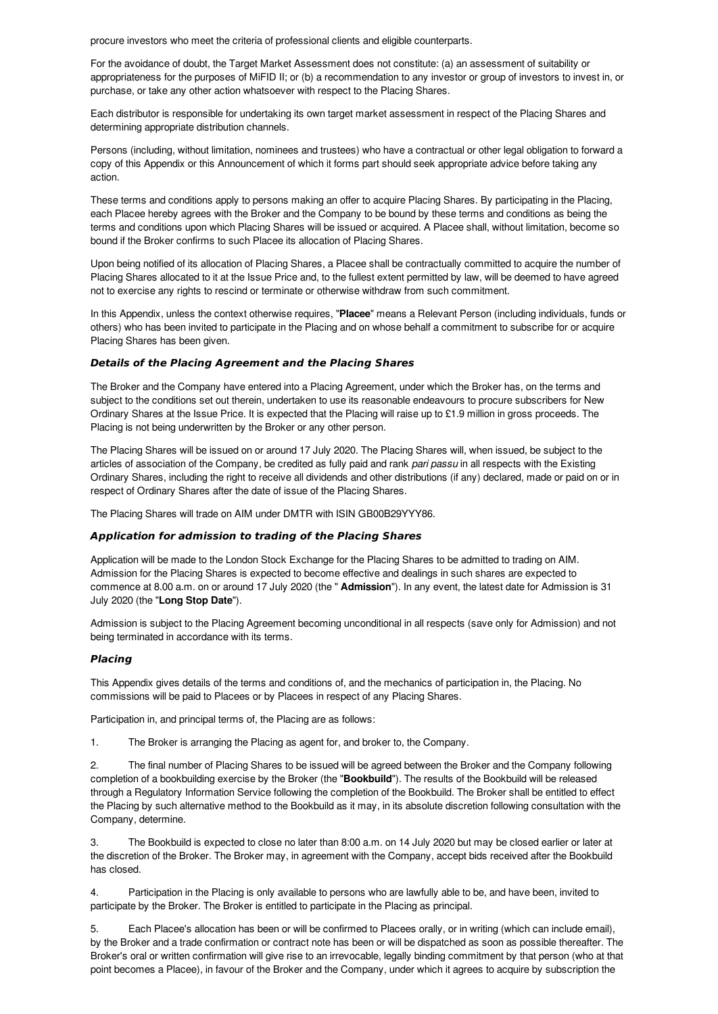procure investors who meet the criteria of professional clients and eligible counterparts.

For the avoidance of doubt, the Target Market Assessment does not constitute: (a) an assessment of suitability or appropriateness for the purposes of MiFID II; or (b) a recommendation to any investor or group of investors to invest in, or purchase, or take any other action whatsoever with respect to the Placing Shares.

Each distributor is responsible for undertaking its own target market assessment in respect of the Placing Shares and determining appropriate distribution channels.

Persons (including, without limitation, nominees and trustees) who have a contractual or other legal obligation to forward a copy of this Appendix or this Announcement of which it forms part should seek appropriate advice before taking any action.

These terms and conditions apply to persons making an offer to acquire Placing Shares. By participating in the Placing, each Placee hereby agrees with the Broker and the Company to be bound by these terms and conditions as being the terms and conditions upon which Placing Shares will be issued or acquired. A Placee shall, without limitation, become so bound if the Broker confirms to such Placee its allocation of Placing Shares.

Upon being notified of its allocation of Placing Shares, a Placee shall be contractually committed to acquire the number of Placing Shares allocated to it at the Issue Price and, to the fullest extent permitted by law, will be deemed to have agreed not to exercise any rights to rescind or terminate or otherwise withdraw from such commitment.

In this Appendix, unless the context otherwise requires, "**Placee**" means a Relevant Person (including individuals, funds or others) who has been invited to participate in the Placing and on whose behalf a commitment to subscribe for or acquire Placing Shares has been given.

# **Details of the Placing Agreement and the Placing Shares**

The Broker and the Company have entered into a Placing Agreement, under which the Broker has, on the terms and subject to the conditions set out therein, undertaken to use its reasonable endeavours to procure subscribers for New Ordinary Shares at the Issue Price. It is expected that the Placing will raise up to £1.9 million in gross proceeds. The Placing is not being underwritten by the Broker or any other person.

The Placing Shares will be issued on or around 17 July 2020. The Placing Shares will, when issued, be subject to the articles of association of the Company, be credited as fully paid and rank *pari passu* in all respects with the Existing Ordinary Shares, including the right to receive all dividends and other distributions (if any) declared, made or paid on or in respect of Ordinary Shares after the date of issue of the Placing Shares.

The Placing Shares will trade on AIM under DMTR with ISIN GB00B29YYY86.

## **Application for admission to trading of the Placing Shares**

Application will be made to the London Stock Exchange for the Placing Shares to be admitted to trading on AIM. Admission for the Placing Shares is expected to become effective and dealings in such shares are expected to commence at 8.00 a.m. on or around 17 July 2020 (the " **Admission**"). In any event, the latest date for Admission is 31 July 2020 (the "**Long Stop Date**").

Admission is subject to the Placing Agreement becoming unconditional in all respects (save only for Admission) and not being terminated in accordance with its terms.

# **Placing**

This Appendix gives details of the terms and conditions of, and the mechanics of participation in, the Placing. No commissions will be paid to Placees or by Placees in respect of any Placing Shares.

Participation in, and principal terms of, the Placing are as follows:

1. The Broker is arranging the Placing as agent for, and broker to, the Company.

2. The final number of Placing Shares to be issued will be agreed between the Broker and the Company following completion of a bookbuilding exercise by the Broker (the "**Bookbuild**"). The results of the Bookbuild will be released through a Regulatory Information Service following the completion of the Bookbuild. The Broker shall be entitled to effect the Placing by such alternative method to the Bookbuild as it may, in its absolute discretion following consultation with the Company, determine.

3. The Bookbuild is expected to close no later than 8:00 a.m. on 14 July 2020 but may be closed earlier or later at the discretion of the Broker. The Broker may, in agreement with the Company, accept bids received after the Bookbuild has closed.

4. Participation in the Placing is only available to persons who are lawfully able to be, and have been, invited to participate by the Broker. The Broker is entitled to participate in the Placing as principal.

5. Each Placee's allocation has been or will be confirmed to Placees orally, or in writing (which can include email), by the Broker and a trade confirmation or contract note has been or will be dispatched as soon as possible thereafter. The Broker's oral or written confirmation will give rise to an irrevocable, legally binding commitment by that person (who at that point becomes a Placee), in favour of the Broker and the Company, under which it agrees to acquire by subscription the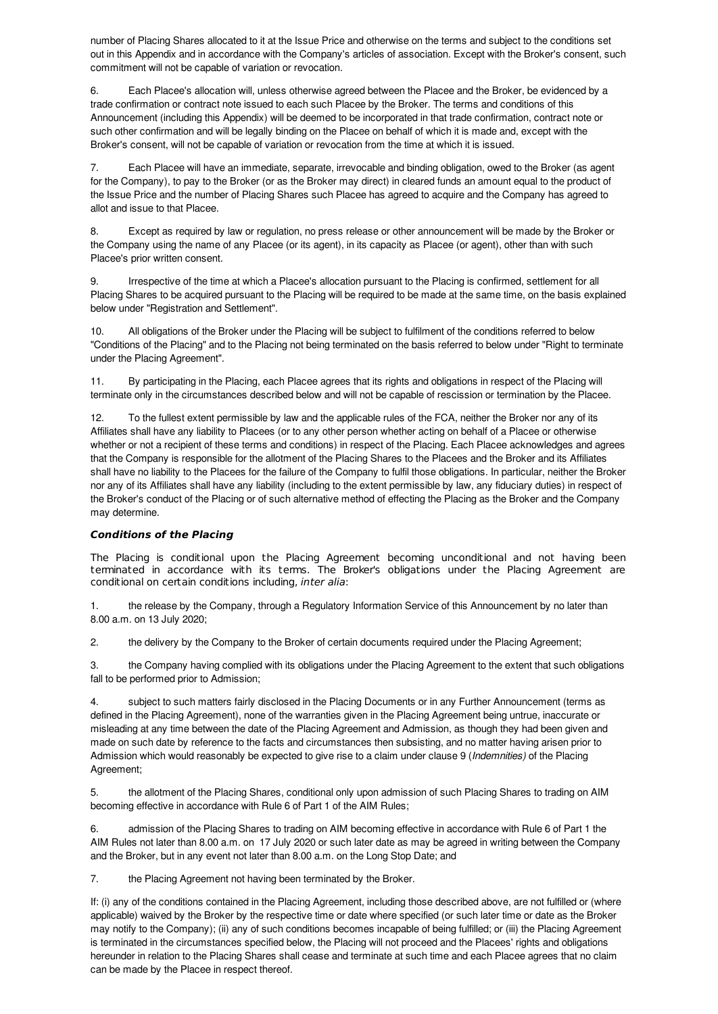number of Placing Shares allocated to it at the Issue Price and otherwise on the terms and subject to the conditions set out in this Appendix and in accordance with the Company's articles of association. Except with the Broker's consent, such commitment will not be capable of variation or revocation.

6. Each Placee's allocation will, unless otherwise agreed between the Placee and the Broker, be evidenced by a trade confirmation or contract note issued to each such Placee by the Broker. The terms and conditions of this Announcement (including this Appendix) will be deemed to be incorporated in that trade confirmation, contract note or such other confirmation and will be legally binding on the Placee on behalf of which it is made and, except with the Broker's consent, will not be capable of variation or revocation from the time at which it is issued.

7. Each Placee will have an immediate, separate, irrevocable and binding obligation, owed to the Broker (as agent for the Company), to pay to the Broker (or as the Broker may direct) in cleared funds an amount equal to the product of the Issue Price and the number of Placing Shares such Placee has agreed to acquire and the Company has agreed to allot and issue to that Placee.

8. Except as required by law or regulation, no press release or other announcement will be made by the Broker or the Company using the name of any Placee (or its agent), in its capacity as Placee (or agent), other than with such Placee's prior written consent.

9. Irrespective of the time at which a Placee's allocation pursuant to the Placing is confirmed, settlement for all Placing Shares to be acquired pursuant to the Placing will be required to be made at the same time, on the basis explained below under "Registration and Settlement".

10. All obligations of the Broker under the Placing will be subject to fulfilment of the conditions referred to below "Conditions of the Placing" and to the Placing not being terminated on the basis referred to below under "Right to terminate under the Placing Agreement".

11. By participating in the Placing, each Placee agrees that its rights and obligations in respect of the Placing will terminate only in the circumstances described below and will not be capable of rescission or termination by the Placee.

12. To the fullest extent permissible by law and the applicable rules of the FCA, neither the Broker nor any of its Affiliates shall have any liability to Placees (or to any other person whether acting on behalf of a Placee or otherwise whether or not a recipient of these terms and conditions) in respect of the Placing. Each Placee acknowledges and agrees that the Company is responsible for the allotment of the Placing Shares to the Placees and the Broker and its Affiliates shall have no liability to the Placees for the failure of the Company to fulfil those obligations. In particular, neither the Broker nor any of its Affiliates shall have any liability (including to the extent permissible by law, any fiduciary duties) in respect of the Broker's conduct of the Placing or of such alternative method of effecting the Placing as the Broker and the Company may determine.

# **Conditions of the Placing**

The Placing is conditional upon the Placing Agreement becoming unconditional and not having been terminated in accordance with its terms. The Broker's obligations under the Placing Agreement are conditional on certain conditions including, inter alia:

1. the release by the Company, through a Regulatory Information Service of this Announcement by no later than 8.00 a.m. on 13 July 2020;

2. the delivery by the Company to the Broker of certain documents required under the Placing Agreement;

3. the Company having complied with its obligations under the Placing Agreement to the extent that such obligations fall to be performed prior to Admission;

subject to such matters fairly disclosed in the Placing Documents or in any Further Announcement (terms as defined in the Placing Agreement), none of the warranties given in the Placing Agreement being untrue, inaccurate or misleading at any time between the date of the Placing Agreement and Admission, as though they had been given and made on such date by reference to the facts and circumstances then subsisting, and no matter having arisen prior to Admission which would reasonably be expected to give rise to a claim under clause 9 (*Indemnities)* of the Placing Agreement;

5. the allotment of the Placing Shares, conditional only upon admission of such Placing Shares to trading on AIM becoming effective in accordance with Rule 6 of Part 1 of the AIM Rules;

6. admission of the Placing Shares to trading on AIM becoming effective in accordance with Rule 6 of Part 1 the AIM Rules not later than 8.00 a.m. on 17 July 2020 or such later date as may be agreed in writing between the Company and the Broker, but in any event not later than 8.00 a.m. on the Long Stop Date; and

7. the Placing Agreement not having been terminated by the Broker.

If: (i) any of the conditions contained in the Placing Agreement, including those described above, are not fulfilled or (where applicable) waived by the Broker by the respective time or date where specified (or such later time or date as the Broker may notify to the Company); (ii) any of such conditions becomes incapable of being fulfilled; or (iii) the Placing Agreement is terminated in the circumstances specified below, the Placing will not proceed and the Placees' rights and obligations hereunder in relation to the Placing Shares shall cease and terminate at such time and each Placee agrees that no claim can be made by the Placee in respect thereof.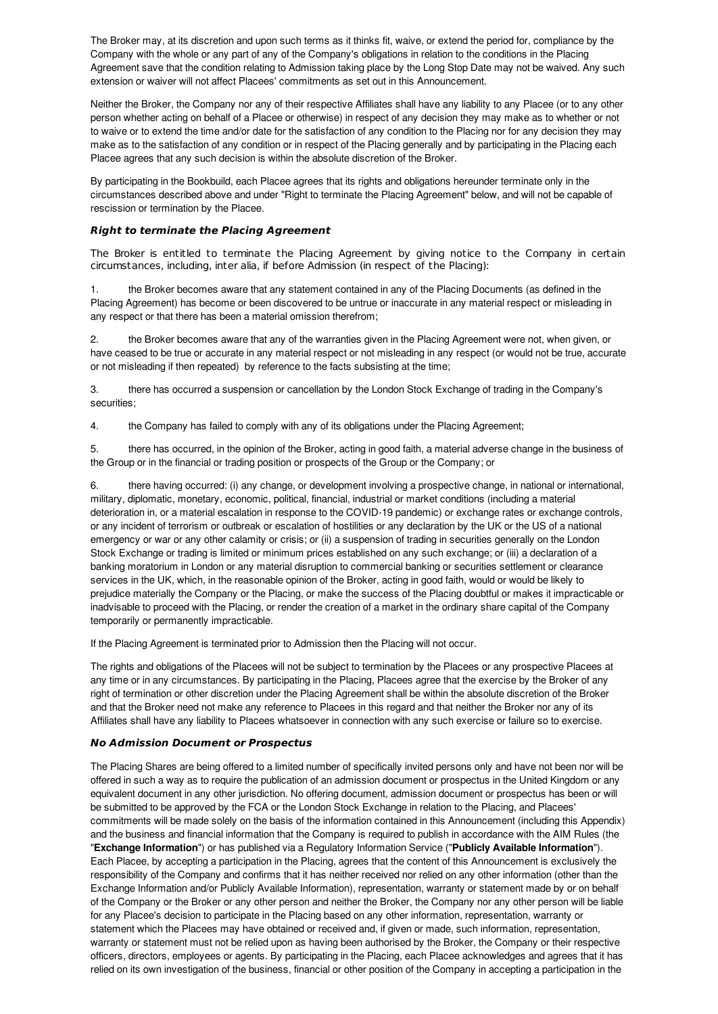The Broker may, at its discretion and upon such terms as it thinks fit, waive, or extend the period for, compliance by the Company with the whole or any part of any of the Company's obligations in relation to the conditions in the Placing Agreement save that the condition relating to Admission taking place by the Long Stop Date may not be waived. Any such extension or waiver will not affect Placees' commitments as set out in this Announcement.

Neither the Broker, the Company nor any of their respective Affiliates shall have any liability to any Placee (or to any other person whether acting on behalf of a Placee or otherwise) in respect of any decision they may make as to whether or not to waive or to extend the time and/or date for the satisfaction of any condition to the Placing nor for any decision they may make as to the satisfaction of any condition or in respect of the Placing generally and by participating in the Placing each Placee agrees that any such decision is within the absolute discretion of the Broker.

By participating in the Bookbuild, each Placee agrees that its rights and obligations hereunder terminate only in the circumstances described above and under "Right to terminate the Placing Agreement" below, and will not be capable of rescission or termination by the Placee.

# **Right to terminate the Placing Agreement**

The Broker is entitled to terminate the Placing Agreement by giving notice to the Company in certain circumstances, including, inter alia, if before Admission (in respect of the Placing):

the Broker becomes aware that any statement contained in any of the Placing Documents (as defined in the Placing Agreement) has become or been discovered to be untrue or inaccurate in any material respect or misleading in any respect or that there has been a material omission therefrom;

2. the Broker becomes aware that any of the warranties given in the Placing Agreement were not, when given, or have ceased to be true or accurate in any material respect or not misleading in any respect (or would not be true, accurate or not misleading if then repeated) by reference to the facts subsisting at the time;

3. there has occurred a suspension or cancellation by the London Stock Exchange of trading in the Company's securities;

4. the Company has failed to comply with any of its obligations under the Placing Agreement;

5. there has occurred, in the opinion of the Broker, acting in good faith, a material adverse change in the business of the Group or in the financial or trading position or prospects of the Group or the Company; or

6. there having occurred: (i) any change, or development involving a prospective change, in national or international, military, diplomatic, monetary, economic, political, financial, industrial or market conditions (including a material deterioration in, or a material escalation in response to the COVID-19 pandemic) or exchange rates or exchange controls, or any incident of terrorism or outbreak or escalation of hostilities or any declaration by the UK or the US of a national emergency or war or any other calamity or crisis; or (ii) a suspension of trading in securities generally on the London Stock Exchange or trading is limited or minimum prices established on any such exchange; or (iii) a declaration of a banking moratorium in London or any material disruption to commercial banking or securities settlement or clearance services in the UK, which, in the reasonable opinion of the Broker, acting in good faith, would or would be likely to prejudice materially the Company or the Placing, or make the success of the Placing doubtful or makes it impracticable or inadvisable to proceed with the Placing, or render the creation of a market in the ordinary share capital of the Company temporarily or permanently impracticable.

If the Placing Agreement is terminated prior to Admission then the Placing will not occur.

The rights and obligations of the Placees will not be subject to termination by the Placees or any prospective Placees at any time or in any circumstances. By participating in the Placing, Placees agree that the exercise by the Broker of any right of termination or other discretion under the Placing Agreement shall be within the absolute discretion of the Broker and that the Broker need not make any reference to Placees in this regard and that neither the Broker nor any of its Affiliates shall have any liability to Placees whatsoever in connection with any such exercise or failure so to exercise.

## **No Admission Document or Prospectus**

The Placing Shares are being offered to a limited number of specifically invited persons only and have not been nor will be offered in such a way as to require the publication of an admission document or prospectus in the United Kingdom or any equivalent document in any other jurisdiction. No offering document, admission document or prospectus has been or will be submitted to be approved by the FCA or the London Stock Exchange in relation to the Placing, and Placees' commitments will be made solely on the basis of the information contained in this Announcement (including this Appendix) and the business and financial information that the Company is required to publish in accordance with the AIM Rules (the "**Exchange Information**") or has published via a Regulatory Information Service ("**Publicly Available Information**"). Each Placee, by accepting a participation in the Placing, agrees that the content of this Announcement is exclusively the responsibility of the Company and confirms that it has neither received nor relied on any other information (other than the Exchange Information and/or Publicly Available Information), representation, warranty or statement made by or on behalf of the Company or the Broker or any other person and neither the Broker, the Company nor any other person will be liable for any Placee's decision to participate in the Placing based on any other information, representation, warranty or statement which the Placees may have obtained or received and, if given or made, such information, representation, warranty or statement must not be relied upon as having been authorised by the Broker, the Company or their respective officers, directors, employees or agents. By participating in the Placing, each Placee acknowledges and agrees that it has relied on its own investigation of the business, financial or other position of the Company in accepting a participation in the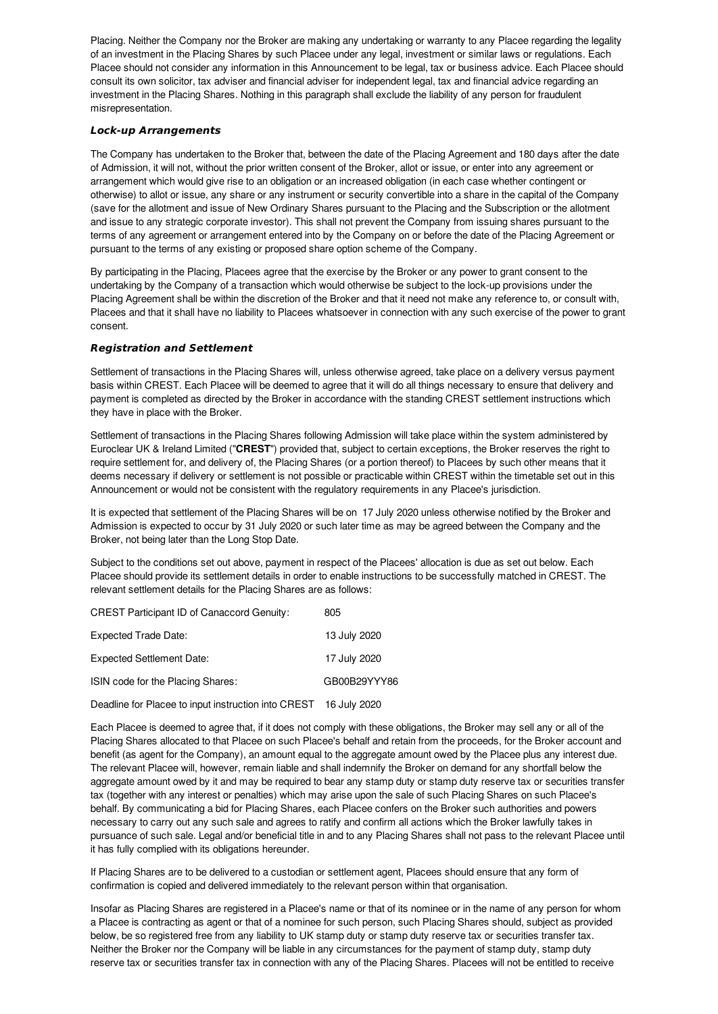Placing. Neither the Company nor the Broker are making any undertaking or warranty to any Placee regarding the legality of an investment in the Placing Shares by such Placee under any legal, investment or similar laws or regulations. Each Placee should not consider any information in this Announcement to be legal, tax or business advice. Each Placee should consult its own solicitor, tax adviser and financial adviser for independent legal, tax and financial advice regarding an investment in the Placing Shares. Nothing in this paragraph shall exclude the liability of any person for fraudulent misrepresentation.

# **Lock-up Arrangements**

The Company has undertaken to the Broker that, between the date of the Placing Agreement and 180 days after the date of Admission, it will not, without the prior written consent of the Broker, allot or issue, or enter into any agreement or arrangement which would give rise to an obligation or an increased obligation (in each case whether contingent or otherwise) to allot or issue, any share or any instrument or security convertible into a share in the capital of the Company (save for the allotment and issue of New Ordinary Shares pursuant to the Placing and the Subscription or the allotment and issue to any strategic corporate investor). This shall not prevent the Company from issuing shares pursuant to the terms of any agreement or arrangement entered into by the Company on or before the date of the Placing Agreement or pursuant to the terms of any existing or proposed share option scheme of the Company.

By participating in the Placing, Placees agree that the exercise by the Broker or any power to grant consent to the undertaking by the Company of a transaction which would otherwise be subject to the lock-up provisions under the Placing Agreement shall be within the discretion of the Broker and that it need not make any reference to, or consult with, Placees and that it shall have no liability to Placees whatsoever in connection with any such exercise of the power to grant consent.

# **Registration and Settlement**

Settlement of transactions in the Placing Shares will, unless otherwise agreed, take place on a delivery versus payment basis within CREST. Each Placee will be deemed to agree that it will do all things necessary to ensure that delivery and payment is completed as directed by the Broker in accordance with the standing CREST settlement instructions which they have in place with the Broker.

Settlement of transactions in the Placing Shares following Admission will take place within the system administered by Euroclear UK & Ireland Limited ("**CREST**") provided that, subject to certain exceptions, the Broker reserves the right to require settlement for, and delivery of, the Placing Shares (or a portion thereof) to Placees by such other means that it deems necessary if delivery or settlement is not possible or practicable within CREST within the timetable set out in this Announcement or would not be consistent with the regulatory requirements in any Placee's jurisdiction.

It is expected that settlement of the Placing Shares will be on 17 July 2020 unless otherwise notified by the Broker and Admission is expected to occur by 31 July 2020 or such later time as may be agreed between the Company and the Broker, not being later than the Long Stop Date.

Subject to the conditions set out above, payment in respect of the Placees' allocation is due as set out below. Each Placee should provide its settlement details in order to enable instructions to be successfully matched in CREST. The relevant settlement details for the Placing Shares are as follows:

CREST Participant ID of Canaccord Genuity: 805

| Expected Trade Date:                                             | 13 July 2020 |
|------------------------------------------------------------------|--------------|
| <b>Expected Settlement Date:</b>                                 | 17 July 2020 |
| ISIN code for the Placing Shares:                                | GB00B29YYY86 |
| Deadline for Placee to input instruction into CREST 16 July 2020 |              |

Each Placee is deemed to agree that, if it does not comply with these obligations, the Broker may sell any or all of the Placing Shares allocated to that Placee on such Placee's behalf and retain from the proceeds, for the Broker account and benefit (as agent for the Company), an amount equal to the aggregate amount owed by the Placee plus any interest due. The relevant Placee will, however, remain liable and shall indemnify the Broker on demand for any shortfall below the aggregate amount owed by it and may be required to bear any stamp duty or stamp duty reserve tax or securities transfer tax (together with any interest or penalties) which may arise upon the sale of such Placing Shares on such Placee's behalf. By communicating a bid for Placing Shares, each Placee confers on the Broker such authorities and powers necessary to carry out any such sale and agrees to ratify and confirm all actions which the Broker lawfully takes in pursuance of such sale. Legal and/or beneficial title in and to any Placing Shares shall not pass to the relevant Placee until it has fully complied with its obligations hereunder.

If Placing Shares are to be delivered to a custodian or settlement agent, Placees should ensure that any form of confirmation is copied and delivered immediately to the relevant person within that organisation.

Insofar as Placing Shares are registered in a Placee's name or that of its nominee or in the name of any person for whom a Placee is contracting as agent or that of a nominee for such person, such Placing Shares should, subject as provided below, be so registered free from any liability to UK stamp duty or stamp duty reserve tax or securities transfer tax. Neither the Broker nor the Company will be liable in any circumstances for the payment of stamp duty, stamp duty reserve tax or securities transfer tax in connection with any of the Placing Shares. Placees will not be entitled to receive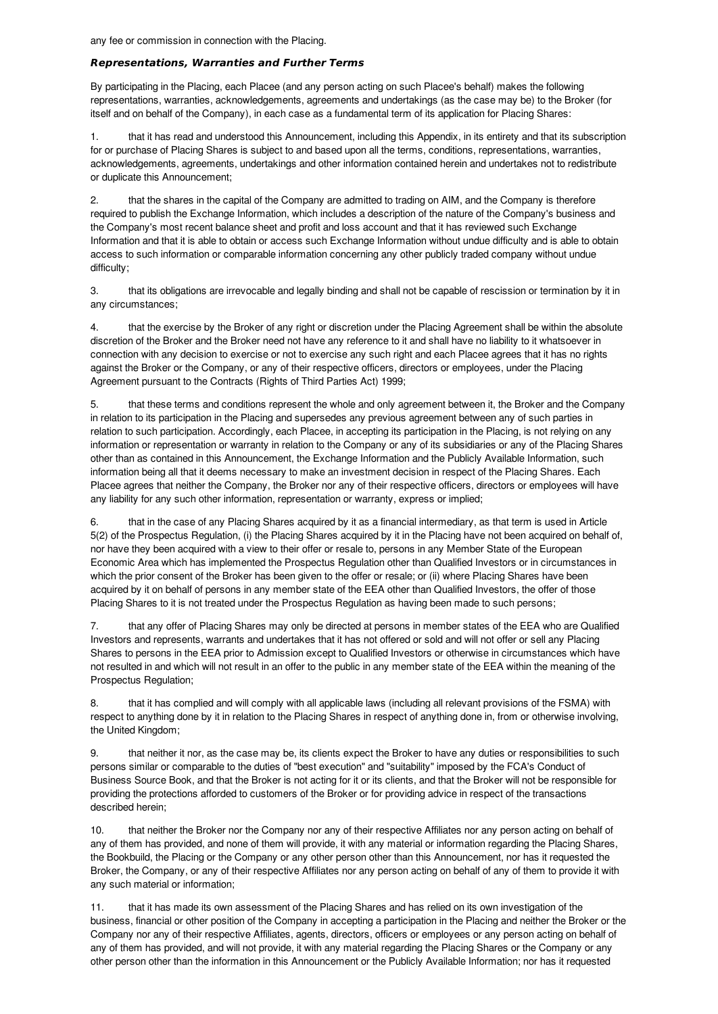#### **Representations, Warranties and Further Terms**

By participating in the Placing, each Placee (and any person acting on such Placee's behalf) makes the following representations, warranties, acknowledgements, agreements and undertakings (as the case may be) to the Broker (for itself and on behalf of the Company), in each case as a fundamental term of its application for Placing Shares:

1. that it has read and understood this Announcement, including this Appendix, in its entirety and that its subscription for or purchase of Placing Shares is subject to and based upon all the terms, conditions, representations, warranties, acknowledgements, agreements, undertakings and other information contained herein and undertakes not to redistribute or duplicate this Announcement;

2. that the shares in the capital of the Company are admitted to trading on AIM, and the Company is therefore required to publish the Exchange Information, which includes a description of the nature of the Company's business and the Company's most recent balance sheet and profit and loss account and that it has reviewed such Exchange Information and that it is able to obtain or access such Exchange Information without undue difficulty and is able to obtain access to such information or comparable information concerning any other publicly traded company without undue difficulty;

3. that its obligations are irrevocable and legally binding and shall not be capable of rescission or termination by it in any circumstances;

4. that the exercise by the Broker of any right or discretion under the Placing Agreement shall be within the absolute discretion of the Broker and the Broker need not have any reference to it and shall have no liability to it whatsoever in connection with any decision to exercise or not to exercise any such right and each Placee agrees that it has no rights against the Broker or the Company, or any of their respective officers, directors or employees, under the Placing Agreement pursuant to the Contracts (Rights of Third Parties Act) 1999;

5. that these terms and conditions represent the whole and only agreement between it, the Broker and the Company in relation to its participation in the Placing and supersedes any previous agreement between any of such parties in relation to such participation. Accordingly, each Placee, in accepting its participation in the Placing, is not relying on any information or representation or warranty in relation to the Company or any of its subsidiaries or any of the Placing Shares other than as contained in this Announcement, the Exchange Information and the Publicly Available Information, such information being all that it deems necessary to make an investment decision in respect of the Placing Shares. Each Placee agrees that neither the Company, the Broker nor any of their respective officers, directors or employees will have any liability for any such other information, representation or warranty, express or implied;

6. that in the case of any Placing Shares acquired by it as a financial intermediary, as that term is used in Article 5(2) of the Prospectus Regulation, (i) the Placing Shares acquired by it in the Placing have not been acquired on behalf of, nor have they been acquired with a view to their offer or resale to, persons in any Member State of the European Economic Area which has implemented the Prospectus Regulation other than Qualified Investors or in circumstances in which the prior consent of the Broker has been given to the offer or resale; or (ii) where Placing Shares have been acquired by it on behalf of persons in any member state of the EEA other than Qualified Investors, the offer of those Placing Shares to it is not treated under the Prospectus Regulation as having been made to such persons;

7. that any offer of Placing Shares may only be directed at persons in member states of the EEA who are Qualified Investors and represents, warrants and undertakes that it has not offered or sold and will not offer or sell any Placing Shares to persons in the EEA prior to Admission except to Qualified Investors or otherwise in circumstances which have not resulted in and which will not result in an offer to the public in any member state of the EEA within the meaning of the Prospectus Regulation;

8. that it has complied and will comply with all applicable laws (including all relevant provisions of the FSMA) with respect to anything done by it in relation to the Placing Shares in respect of anything done in, from or otherwise involving, the United Kingdom;

9. that neither it nor, as the case may be, its clients expect the Broker to have any duties or responsibilities to such persons similar or comparable to the duties of "best execution" and "suitability" imposed by the FCA's Conduct of Business Source Book, and that the Broker is not acting for it or its clients, and that the Broker will not be responsible for providing the protections afforded to customers of the Broker or for providing advice in respect of the transactions described herein;

10. that neither the Broker nor the Company nor any of their respective Affiliates nor any person acting on behalf of any of them has provided, and none of them will provide, it with any material or information regarding the Placing Shares, the Bookbuild, the Placing or the Company or any other person other than this Announcement, nor has it requested the Broker, the Company, or any of their respective Affiliates nor any person acting on behalf of any of them to provide it with any such material or information;

11. that it has made its own assessment of the Placing Shares and has relied on its own investigation of the business, financial or other position of the Company in accepting a participation in the Placing and neither the Broker or the Company nor any of their respective Affiliates, agents, directors, officers or employees or any person acting on behalf of any of them has provided, and will not provide, it with any material regarding the Placing Shares or the Company or any other person other than the information in this Announcement or the Publicly Available Information; nor has it requested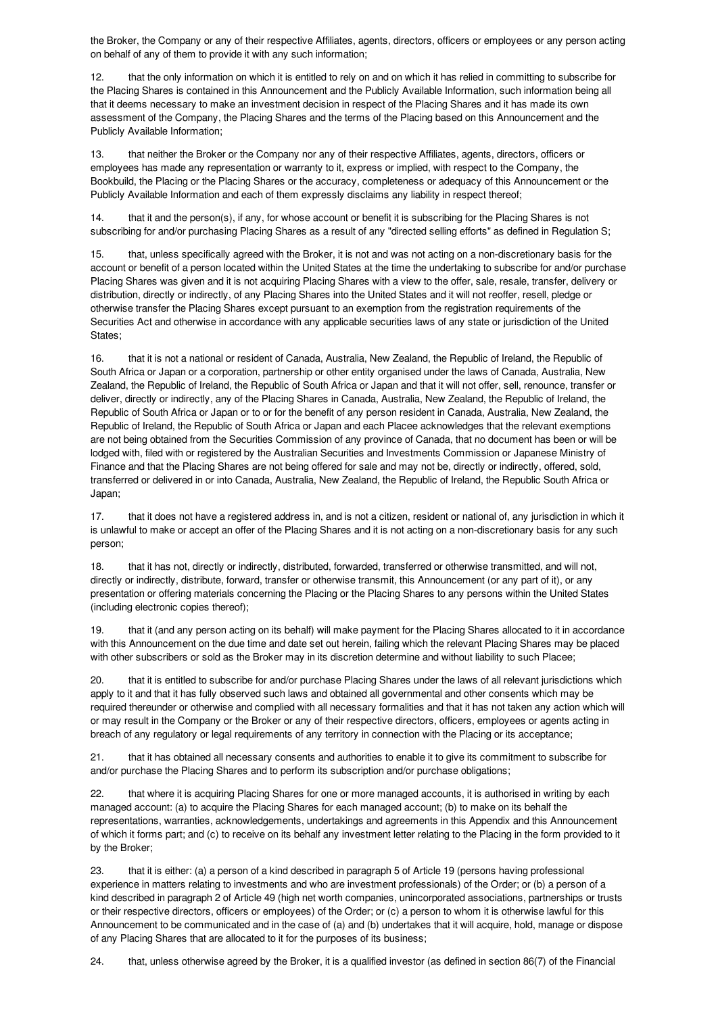the Broker, the Company or any of their respective Affiliates, agents, directors, officers or employees or any person acting on behalf of any of them to provide it with any such information;

12. that the only information on which it is entitled to rely on and on which it has relied in committing to subscribe for the Placing Shares is contained in this Announcement and the Publicly Available Information, such information being all that it deems necessary to make an investment decision in respect of the Placing Shares and it has made its own assessment of the Company, the Placing Shares and the terms of the Placing based on this Announcement and the Publicly Available Information;

13. that neither the Broker or the Company nor any of their respective Affiliates, agents, directors, officers or employees has made any representation or warranty to it, express or implied, with respect to the Company, the Bookbuild, the Placing or the Placing Shares or the accuracy, completeness or adequacy of this Announcement or the Publicly Available Information and each of them expressly disclaims any liability in respect thereof;

14. that it and the person(s), if any, for whose account or benefit it is subscribing for the Placing Shares is not subscribing for and/or purchasing Placing Shares as a result of any "directed selling efforts" as defined in Regulation S;

15. that, unless specifically agreed with the Broker, it is not and was not acting on a non-discretionary basis for the account or benefit of a person located within the United States at the time the undertaking to subscribe for and/or purchase Placing Shares was given and it is not acquiring Placing Shares with a view to the offer, sale, resale, transfer, delivery or distribution, directly or indirectly, of any Placing Shares into the United States and it will not reoffer, resell, pledge or otherwise transfer the Placing Shares except pursuant to an exemption from the registration requirements of the Securities Act and otherwise in accordance with any applicable securities laws of any state or jurisdiction of the United States;

16. that it is not a national or resident of Canada, Australia, New Zealand, the Republic of Ireland, the Republic of South Africa or Japan or a corporation, partnership or other entity organised under the laws of Canada, Australia, New Zealand, the Republic of Ireland, the Republic of South Africa or Japan and that it will not offer, sell, renounce, transfer or deliver, directly or indirectly, any of the Placing Shares in Canada, Australia, New Zealand, the Republic of Ireland, the Republic of South Africa or Japan or to or for the benefit of any person resident in Canada, Australia, New Zealand, the Republic of Ireland, the Republic of South Africa or Japan and each Placee acknowledges that the relevant exemptions are not being obtained from the Securities Commission of any province of Canada, that no document has been or will be lodged with, filed with or registered by the Australian Securities and Investments Commission or Japanese Ministry of Finance and that the Placing Shares are not being offered for sale and may not be, directly or indirectly, offered, sold, transferred or delivered in or into Canada, Australia, New Zealand, the Republic of Ireland, the Republic South Africa or Japan;

17. that it does not have a registered address in, and is not a citizen, resident or national of, any jurisdiction in which it is unlawful to make or accept an offer of the Placing Shares and it is not acting on a non-discretionary basis for any such person;

18. that it has not, directly or indirectly, distributed, forwarded, transferred or otherwise transmitted, and will not, directly or indirectly, distribute, forward, transfer or otherwise transmit, this Announcement (or any part of it), or any presentation or offering materials concerning the Placing or the Placing Shares to any persons within the United States (including electronic copies thereof);

19. that it (and any person acting on its behalf) will make payment for the Placing Shares allocated to it in accordance with this Announcement on the due time and date set out herein, failing which the relevant Placing Shares may be placed with other subscribers or sold as the Broker may in its discretion determine and without liability to such Placee;

20. that it is entitled to subscribe for and/or purchase Placing Shares under the laws of all relevant jurisdictions which apply to it and that it has fully observed such laws and obtained all governmental and other consents which may be required thereunder or otherwise and complied with all necessary formalities and that it has not taken any action which will or may result in the Company or the Broker or any of their respective directors, officers, employees or agents acting in breach of any regulatory or legal requirements of any territory in connection with the Placing or its acceptance;

21. that it has obtained all necessary consents and authorities to enable it to give its commitment to subscribe for and/or purchase the Placing Shares and to perform its subscription and/or purchase obligations;

22. that where it is acquiring Placing Shares for one or more managed accounts, it is authorised in writing by each managed account: (a) to acquire the Placing Shares for each managed account; (b) to make on its behalf the representations, warranties, acknowledgements, undertakings and agreements in this Appendix and this Announcement of which it forms part; and (c) to receive on its behalf any investment letter relating to the Placing in the form provided to it by the Broker;

23. that it is either: (a) a person of a kind described in paragraph 5 of Article 19 (persons having professional experience in matters relating to investments and who are investment professionals) of the Order; or (b) a person of a kind described in paragraph 2 of Article 49 (high net worth companies, unincorporated associations, partnerships or trusts or their respective directors, officers or employees) of the Order; or (c) a person to whom it is otherwise lawful for this Announcement to be communicated and in the case of (a) and (b) undertakes that it will acquire, hold, manage or dispose of any Placing Shares that are allocated to it for the purposes of its business;

24. that, unless otherwise agreed by the Broker, it is a qualified investor (as defined in section 86(7) of the Financial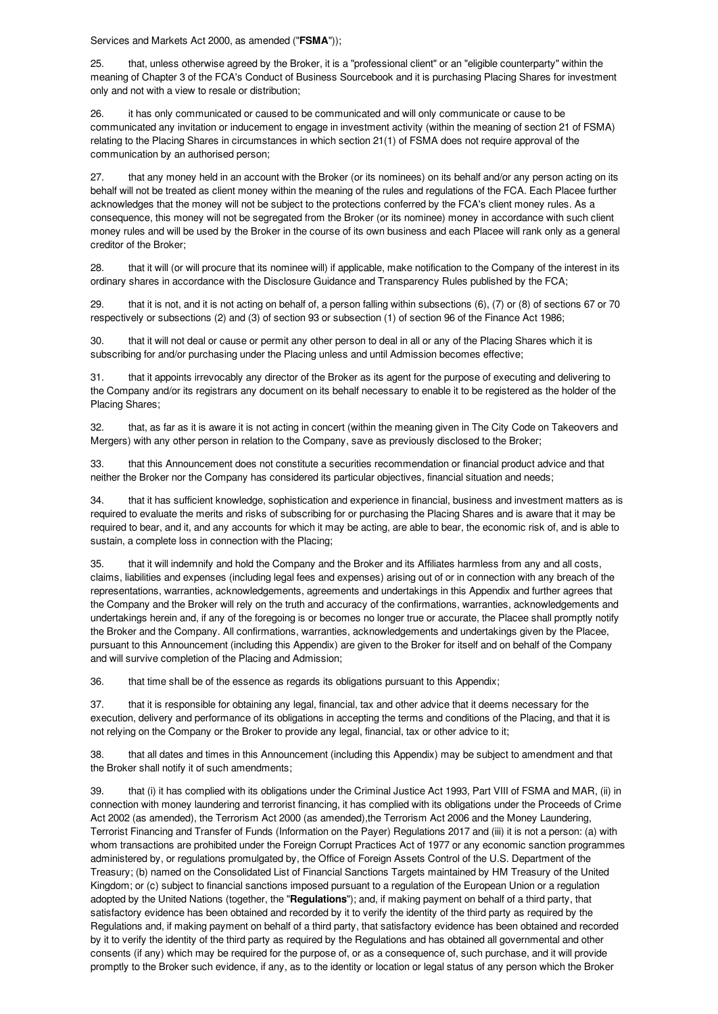Services and Markets Act 2000, as amended ("**FSMA**"));

25. that, unless otherwise agreed by the Broker, it is a "professional client" or an "eligible counterparty" within the meaning of Chapter 3 of the FCA's Conduct of Business Sourcebook and it is purchasing Placing Shares for investment only and not with a view to resale or distribution;

26. it has only communicated or caused to be communicated and will only communicate or cause to be communicated any invitation or inducement to engage in investment activity (within the meaning of section 21 of FSMA) relating to the Placing Shares in circumstances in which section 21(1) of FSMA does not require approval of the communication by an authorised person;

27. that any money held in an account with the Broker (or its nominees) on its behalf and/or any person acting on its behalf will not be treated as client money within the meaning of the rules and regulations of the FCA. Each Placee further acknowledges that the money will not be subject to the protections conferred by the FCA's client money rules. As a consequence, this money will not be segregated from the Broker (or its nominee) money in accordance with such client money rules and will be used by the Broker in the course of its own business and each Placee will rank only as a general creditor of the Broker;

28. that it will (or will procure that its nominee will) if applicable, make notification to the Company of the interest in its ordinary shares in accordance with the Disclosure Guidance and Transparency Rules published by the FCA;

29. that it is not, and it is not acting on behalf of, a person falling within subsections (6), (7) or (8) of sections 67 or 70 respectively or subsections (2) and (3) of section 93 or subsection (1) of section 96 of the Finance Act 1986;

30. that it will not deal or cause or permit any other person to deal in all or any of the Placing Shares which it is subscribing for and/or purchasing under the Placing unless and until Admission becomes effective;

31. that it appoints irrevocably any director of the Broker as its agent for the purpose of executing and delivering to the Company and/or its registrars any document on its behalf necessary to enable it to be registered as the holder of the Placing Shares;

32. that, as far as it is aware it is not acting in concert (within the meaning given in The City Code on Takeovers and Mergers) with any other person in relation to the Company, save as previously disclosed to the Broker;

33. that this Announcement does not constitute a securities recommendation or financial product advice and that neither the Broker nor the Company has considered its particular objectives, financial situation and needs;

34. that it has sufficient knowledge, sophistication and experience in financial, business and investment matters as is required to evaluate the merits and risks of subscribing for or purchasing the Placing Shares and is aware that it may be required to bear, and it, and any accounts for which it may be acting, are able to bear, the economic risk of, and is able to sustain, a complete loss in connection with the Placing;

35. that it will indemnify and hold the Company and the Broker and its Affiliates harmless from any and all costs, claims, liabilities and expenses (including legal fees and expenses) arising out of or in connection with any breach of the representations, warranties, acknowledgements, agreements and undertakings in this Appendix and further agrees that the Company and the Broker will rely on the truth and accuracy of the confirmations, warranties, acknowledgements and undertakings herein and, if any of the foregoing is or becomes no longer true or accurate, the Placee shall promptly notify the Broker and the Company. All confirmations, warranties, acknowledgements and undertakings given by the Placee, pursuant to this Announcement (including this Appendix) are given to the Broker for itself and on behalf of the Company and will survive completion of the Placing and Admission;

36. that time shall be of the essence as regards its obligations pursuant to this Appendix;

37. that it is responsible for obtaining any legal, financial, tax and other advice that it deems necessary for the execution, delivery and performance of its obligations in accepting the terms and conditions of the Placing, and that it is not relying on the Company or the Broker to provide any legal, financial, tax or other advice to it;

38. that all dates and times in this Announcement (including this Appendix) may be subject to amendment and that the Broker shall notify it of such amendments;

39. that (i) it has complied with its obligations under the Criminal Justice Act 1993, Part VIII of FSMA and MAR, (ii) in connection with money laundering and terrorist financing, it has complied with its obligations under the Proceeds of Crime Act 2002 (as amended), the Terrorism Act 2000 (as amended),the Terrorism Act 2006 and the Money Laundering, Terrorist Financing and Transfer of Funds (Information on the Payer) Regulations 2017 and (iii) it is not a person: (a) with whom transactions are prohibited under the Foreign Corrupt Practices Act of 1977 or any economic sanction programmes administered by, or regulations promulgated by, the Office of Foreign Assets Control of the U.S. Department of the Treasury; (b) named on the Consolidated List of Financial Sanctions Targets maintained by HM Treasury of the United Kingdom; or (c) subject to financial sanctions imposed pursuant to a regulation of the European Union or a regulation adopted by the United Nations (together, the "**Regulations**"); and, if making payment on behalf of a third party, that satisfactory evidence has been obtained and recorded by it to verify the identity of the third party as required by the Regulations and, if making payment on behalf of a third party, that satisfactory evidence has been obtained and recorded by it to verify the identity of the third party as required by the Regulations and has obtained all governmental and other consents (if any) which may be required for the purpose of, or as a consequence of, such purchase, and it will provide promptly to the Broker such evidence, if any, as to the identity or location or legal status of any person which the Broker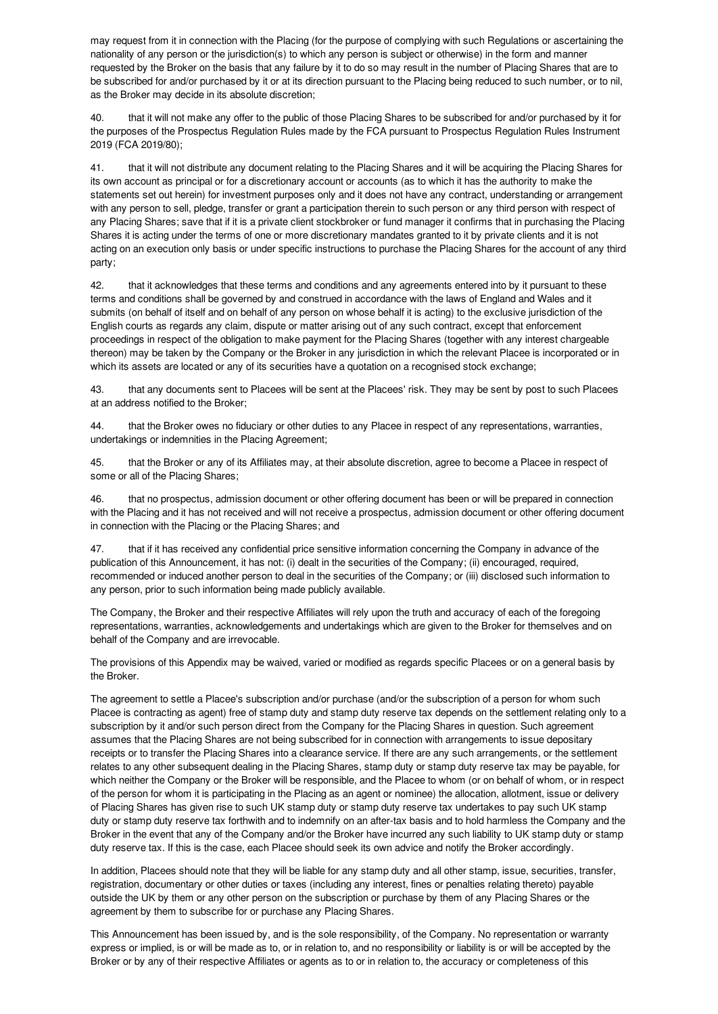may request from it in connection with the Placing (for the purpose of complying with such Regulations or ascertaining the nationality of any person or the jurisdiction(s) to which any person is subject or otherwise) in the form and manner requested by the Broker on the basis that any failure by it to do so may result in the number of Placing Shares that are to be subscribed for and/or purchased by it or at its direction pursuant to the Placing being reduced to such number, or to nil, as the Broker may decide in its absolute discretion;

40. that it will not make any offer to the public of those Placing Shares to be subscribed for and/or purchased by it for the purposes of the Prospectus Regulation Rules made by the FCA pursuant to Prospectus Regulation Rules Instrument 2019 (FCA 2019/80);

41. that it will not distribute any document relating to the Placing Shares and it will be acquiring the Placing Shares for its own account as principal or for a discretionary account or accounts (as to which it has the authority to make the statements set out herein) for investment purposes only and it does not have any contract, understanding or arrangement with any person to sell, pledge, transfer or grant a participation therein to such person or any third person with respect of any Placing Shares; save that if it is a private client stockbroker or fund manager it confirms that in purchasing the Placing Shares it is acting under the terms of one or more discretionary mandates granted to it by private clients and it is not acting on an execution only basis or under specific instructions to purchase the Placing Shares for the account of any third party;

42. that it acknowledges that these terms and conditions and any agreements entered into by it pursuant to these terms and conditions shall be governed by and construed in accordance with the laws of England and Wales and it submits (on behalf of itself and on behalf of any person on whose behalf it is acting) to the exclusive jurisdiction of the English courts as regards any claim, dispute or matter arising out of any such contract, except that enforcement proceedings in respect of the obligation to make payment for the Placing Shares (together with any interest chargeable thereon) may be taken by the Company or the Broker in any jurisdiction in which the relevant Placee is incorporated or in which its assets are located or any of its securities have a quotation on a recognised stock exchange;

43. that any documents sent to Placees will be sent at the Placees' risk. They may be sent by post to such Placees at an address notified to the Broker;

44. that the Broker owes no fiduciary or other duties to any Placee in respect of any representations, warranties, undertakings or indemnities in the Placing Agreement;

45. that the Broker or any of its Affiliates may, at their absolute discretion, agree to become a Placee in respect of some or all of the Placing Shares;

46. that no prospectus, admission document or other offering document has been or will be prepared in connection with the Placing and it has not received and will not receive a prospectus, admission document or other offering document in connection with the Placing or the Placing Shares; and

47. that if it has received any confidential price sensitive information concerning the Company in advance of the publication of this Announcement, it has not: (i) dealt in the securities of the Company; (ii) encouraged, required, recommended or induced another person to deal in the securities of the Company; or (iii) disclosed such information to any person, prior to such information being made publicly available.

The Company, the Broker and their respective Affiliates will rely upon the truth and accuracy of each of the foregoing representations, warranties, acknowledgements and undertakings which are given to the Broker for themselves and on behalf of the Company and are irrevocable.

The provisions of this Appendix may be waived, varied or modified as regards specific Placees or on a general basis by the Broker.

The agreement to settle a Placee's subscription and/or purchase (and/or the subscription of a person for whom such Placee is contracting as agent) free of stamp duty and stamp duty reserve tax depends on the settlement relating only to a subscription by it and/or such person direct from the Company for the Placing Shares in question. Such agreement assumes that the Placing Shares are not being subscribed for in connection with arrangements to issue depositary receipts or to transfer the Placing Shares into a clearance service. If there are any such arrangements, or the settlement relates to any other subsequent dealing in the Placing Shares, stamp duty or stamp duty reserve tax may be payable, for which neither the Company or the Broker will be responsible, and the Placee to whom (or on behalf of whom, or in respect of the person for whom it is participating in the Placing as an agent or nominee) the allocation, allotment, issue or delivery of Placing Shares has given rise to such UK stamp duty or stamp duty reserve tax undertakes to pay such UK stamp duty or stamp duty reserve tax forthwith and to indemnify on an after-tax basis and to hold harmless the Company and the Broker in the event that any of the Company and/or the Broker have incurred any such liability to UK stamp duty or stamp duty reserve tax. If this is the case, each Placee should seek its own advice and notify the Broker accordingly.

In addition, Placees should note that they will be liable for any stamp duty and all other stamp, issue, securities, transfer, registration, documentary or other duties or taxes (including any interest, fines or penalties relating thereto) payable outside the UK by them or any other person on the subscription or purchase by them of any Placing Shares or the agreement by them to subscribe for or purchase any Placing Shares.

This Announcement has been issued by, and is the sole responsibility, of the Company. No representation or warranty express or implied, is or will be made as to, or in relation to, and no responsibility or liability is or will be accepted by the Broker or by any of their respective Affiliates or agents as to or in relation to, the accuracy or completeness of this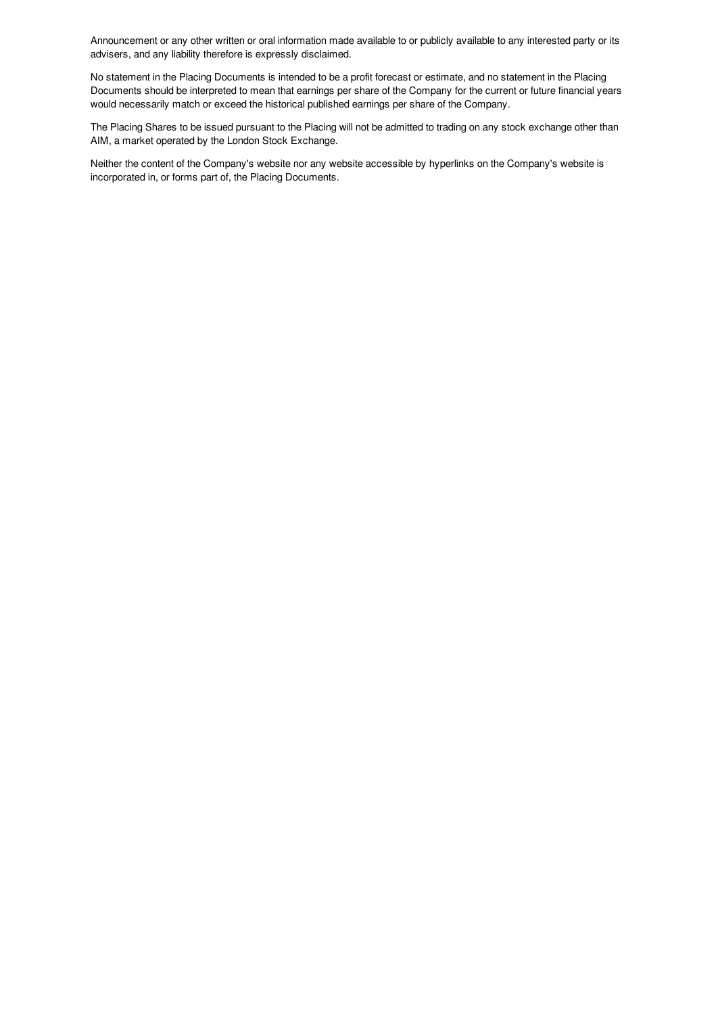Announcement or any other written or oral information made available to or publicly available to any interested party or its advisers, and any liability therefore is expressly disclaimed.

No statement in the Placing Documents is intended to be a profit forecast or estimate, and no statement in the Placing Documents should be interpreted to mean that earnings per share of the Company for the current or future financial years would necessarily match or exceed the historical published earnings per share of the Company.

The Placing Shares to be issued pursuant to the Placing will not be admitted to trading on any stock exchange other than AIM, a market operated by the London Stock Exchange.

Neither the content of the Company's website nor any website accessible by hyperlinks on the Company's website is incorporated in, or forms part of, the Placing Documents.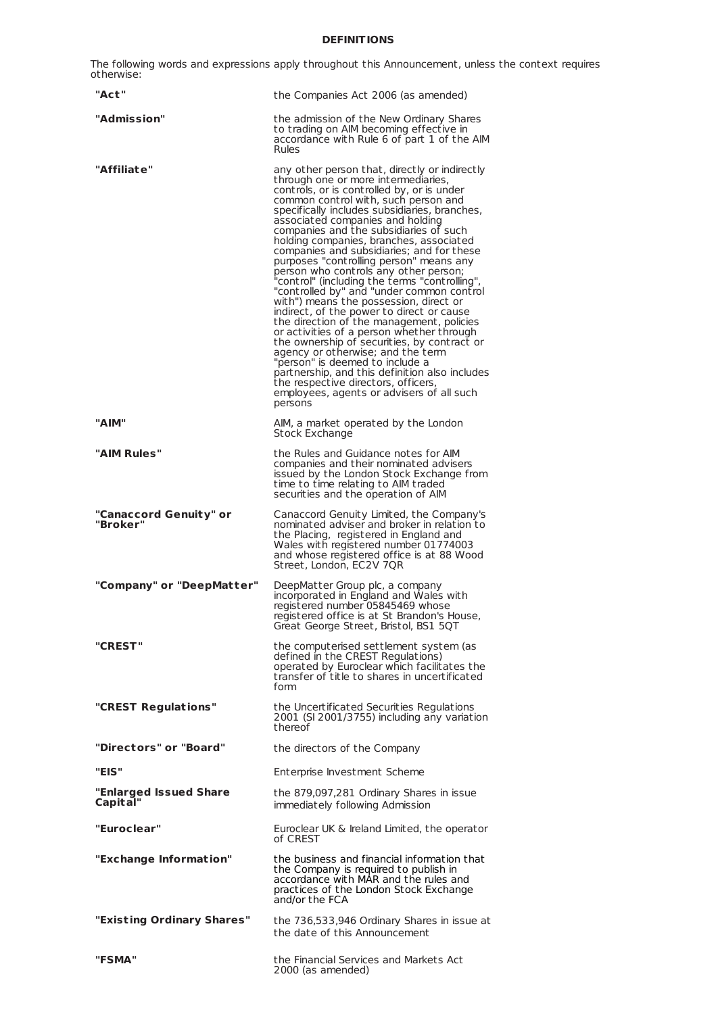# **DEFINITIONS**

The following words and expressions apply throughout this Announcement, unless the context requires otherwise:

| "Act"                              | the Companies Act 2006 (as amended)                                                                                                                                                                                                                                                                                                                                                                                                                                                                                                                                                                                                                                                                                                                                                                                                                                                                                                                                                                                                         |
|------------------------------------|---------------------------------------------------------------------------------------------------------------------------------------------------------------------------------------------------------------------------------------------------------------------------------------------------------------------------------------------------------------------------------------------------------------------------------------------------------------------------------------------------------------------------------------------------------------------------------------------------------------------------------------------------------------------------------------------------------------------------------------------------------------------------------------------------------------------------------------------------------------------------------------------------------------------------------------------------------------------------------------------------------------------------------------------|
| "Admission"                        | the admission of the New Ordinary Shares<br>to trading on AIM becoming effective in<br>accordance with Rule 6 of part 1 of the AIM<br><b>Rules</b>                                                                                                                                                                                                                                                                                                                                                                                                                                                                                                                                                                                                                                                                                                                                                                                                                                                                                          |
| "Affiliat e"                       | any other person that, directly or indirectly<br>through one or more intermediaries,<br>controls, or is controlled by, or is under<br>common control with, such person and<br>specifically includes subsidiaries, branches,<br>associated companies and holding<br>companies and the subsidiaries of such<br>holding companies, branches, associated<br>companies and subsidiaries; and for these<br>purposes "controlling person" means any<br>person who controls any other person;<br>"control" (including the terms "controlling"<br>"controlled by" and "under common control<br>with") means the possession, direct or<br>indirect, of the power to direct or cause<br>the direction of the management, policies<br>or activities of a person whether through<br>the ownership of securities, by contract or<br>agency or otherwise; and the term<br>"person" is deemed to include a<br>partnership, and this definition also includes<br>the respective directors, officers,<br>employees, agents or advisers of all such<br>persons |
| "AIM"                              | AIM, a market operated by the London<br>Stock Exchange                                                                                                                                                                                                                                                                                                                                                                                                                                                                                                                                                                                                                                                                                                                                                                                                                                                                                                                                                                                      |
| "AIM Rules"                        | the Rules and Guidance notes for AIM<br>companies and their nominated advisers<br>issued by the London Stock Exchange from<br>time to time relating to AIM traded<br>securities and the operation of AIM                                                                                                                                                                                                                                                                                                                                                                                                                                                                                                                                                                                                                                                                                                                                                                                                                                    |
| "Canaccord Genuity" or<br>"Broker" | Canaccord Genuity Limited, the Company's<br>nominated adviser and broker in relation to<br>the Placing, registered in England and<br>Wales with registered number 01774003<br>and whose registered office is at 88 Wood<br>Street, London, EC2V 7QR                                                                                                                                                                                                                                                                                                                                                                                                                                                                                                                                                                                                                                                                                                                                                                                         |
| "Company" or "DeepMatter"          | DeepMatter Group plc, a company<br>incorporated in England and Wales with<br>registered number 05845469 whose<br>registered office is at St Brandon's House,<br>Great George Street, Bristol, BS1 5QT                                                                                                                                                                                                                                                                                                                                                                                                                                                                                                                                                                                                                                                                                                                                                                                                                                       |
| "CREST"                            | the computerised settlement system (as<br>defined in the CREST Regulations)<br>operated by Euroclear which facilitates the<br>transfer of title to shares in uncertificated<br>form                                                                                                                                                                                                                                                                                                                                                                                                                                                                                                                                                                                                                                                                                                                                                                                                                                                         |
| "CREST Regulations"                | the Uncertificated Securities Regulations<br>2001 (SI 2001/3755) including any variation<br>thereof                                                                                                                                                                                                                                                                                                                                                                                                                                                                                                                                                                                                                                                                                                                                                                                                                                                                                                                                         |
| "Directors" or "Board"             | the directors of the Company                                                                                                                                                                                                                                                                                                                                                                                                                                                                                                                                                                                                                                                                                                                                                                                                                                                                                                                                                                                                                |
| "EIS"                              | Enterprise Investment Scheme                                                                                                                                                                                                                                                                                                                                                                                                                                                                                                                                                                                                                                                                                                                                                                                                                                                                                                                                                                                                                |
| "Enlarged Issued Share<br>Capital" | the 879,097,281 Ordinary Shares in issue<br>immediately following Admission                                                                                                                                                                                                                                                                                                                                                                                                                                                                                                                                                                                                                                                                                                                                                                                                                                                                                                                                                                 |
| "Euroclear"                        | Euroclear UK & Ireland Limited, the operator<br>of CREST                                                                                                                                                                                                                                                                                                                                                                                                                                                                                                                                                                                                                                                                                                                                                                                                                                                                                                                                                                                    |
| "Exchange Information"             | the business and financial information that<br>the Company is required to publish in<br>accordance with MAR and the rules and<br>practices of the London Stock Exchange<br>and/or the FCA                                                                                                                                                                                                                                                                                                                                                                                                                                                                                                                                                                                                                                                                                                                                                                                                                                                   |
| "Existing Ordinary Shares"         | the 736,533,946 Ordinary Shares in issue at<br>the date of this Announcement                                                                                                                                                                                                                                                                                                                                                                                                                                                                                                                                                                                                                                                                                                                                                                                                                                                                                                                                                                |
| "FSMA"                             | the Financial Services and Markets Act<br>2000 (as amended)                                                                                                                                                                                                                                                                                                                                                                                                                                                                                                                                                                                                                                                                                                                                                                                                                                                                                                                                                                                 |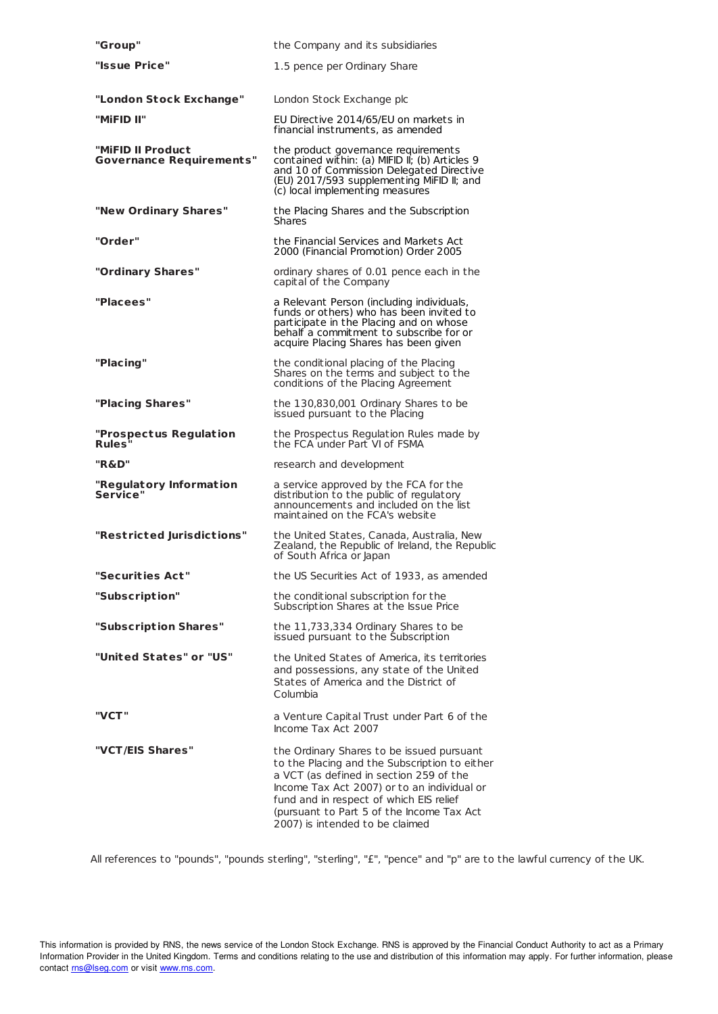| "Group"                                              | the Company and its subsidiaries                                                                                                                                                                                                                                                                                |  |
|------------------------------------------------------|-----------------------------------------------------------------------------------------------------------------------------------------------------------------------------------------------------------------------------------------------------------------------------------------------------------------|--|
| "Issue Price"                                        | 1.5 pence per Ordinary Share                                                                                                                                                                                                                                                                                    |  |
| "London Stock Exchange"                              | London Stock Exchange plc                                                                                                                                                                                                                                                                                       |  |
| "MiFID II"                                           | EU Directive 2014/65/EU on markets in                                                                                                                                                                                                                                                                           |  |
|                                                      | financial instruments, as amended                                                                                                                                                                                                                                                                               |  |
| "MiFID II Product<br><b>Governance Requirements"</b> | the product governance requirements<br>contained within: (a) MIFID II; (b) Articles 9<br>and 10 of Commission Delegated Directive<br>(EU) 2017/593 supplementing MiFID II; and<br>(c) local implementing measures                                                                                               |  |
| "New Ordinary Shares"                                | the Placing Shares and the Subscription<br><b>Shares</b>                                                                                                                                                                                                                                                        |  |
| "Order"                                              | the Financial Services and Markets Act<br>2000 (Financial Promotion) Order 2005                                                                                                                                                                                                                                 |  |
| "Ordinary Shares"                                    | ordinary shares of 0.01 pence each in the<br>capital of the Company                                                                                                                                                                                                                                             |  |
| "Placees"                                            | a Relevant Person (including individuals,<br>funds or others) who has been invited to<br>participate in the Placing and on whose<br>behalf a commitment to subscribe for or<br>acquire Placing Shares has been given                                                                                            |  |
| "Placing"                                            | the conditional placing of the Placing<br>Shares on the terms and subject to the<br>conditions of the Placing Agreement                                                                                                                                                                                         |  |
| "Placing Shares"                                     | the 130,830,001 Ordinary Shares to be<br>issued pursuant to the Placing                                                                                                                                                                                                                                         |  |
| "Prospectus Regulation<br><b>Rules</b>               | the Prospectus Regulation Rules made by<br>the FCA under Part VI of FSMA                                                                                                                                                                                                                                        |  |
| "R&D"                                                | research and development                                                                                                                                                                                                                                                                                        |  |
| "Regulatory Information<br>Service"                  | a service approved by the FCA for the<br>distribution to the public of regulatory<br>announcements and included on the list<br>maintained on the FCA's website                                                                                                                                                  |  |
| "Restricted Jurisdictions"                           | the United States, Canada, Australia, New<br>Zealand, the Republic of Ireland, the Republic<br>of South Africa or Japan                                                                                                                                                                                         |  |
| "Securities Act"                                     | the US Securities Act of 1933, as amended                                                                                                                                                                                                                                                                       |  |
| "Subscription"                                       | the conditional subscription for the<br>Subscription Shares at the Issue Price                                                                                                                                                                                                                                  |  |
| "Subscription Shares"                                | the 11,733,334 Ordinary Shares to be<br>issued pursuant to the Subscription                                                                                                                                                                                                                                     |  |
| "United States" or "US"                              | the United States of America, its territories<br>and possessions, any state of the United<br>States of America and the District of<br>Columbia                                                                                                                                                                  |  |
| "VCT"                                                | a Venture Capital Trust under Part 6 of the<br>Income Tax Act 2007                                                                                                                                                                                                                                              |  |
| "VCT/EIS Shares"                                     | the Ordinary Shares to be issued pursuant<br>to the Placing and the Subscription to either<br>a VCT (as defined in section 259 of the<br>Income Tax Act 2007) or to an individual or<br>fund and in respect of which EIS relief<br>(pursuant to Part 5 of the Income Tax Act<br>2007) is intended to be claimed |  |

All references to "pounds", "pounds sterling", "sterling", "£", "pence" and "p" are to the lawful currency of the UK.